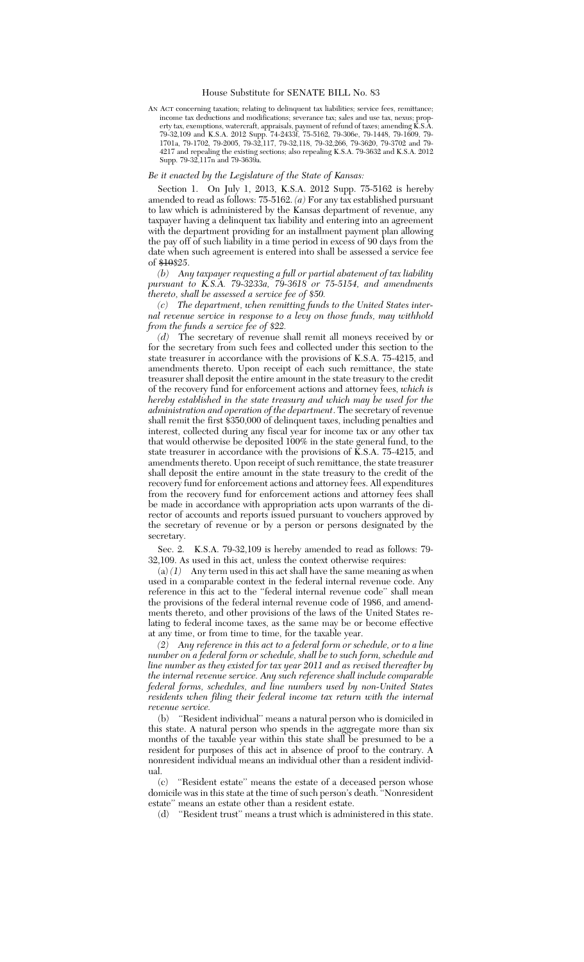## House Substitute for SENATE BILL No. 83

AN ACT concerning taxation; relating to delinquent tax liabilities; service fees, remittance; income tax deductions and modifications; severance tax; sales and use tax, nexus; property tax, exemptions, watercraft, appraisals, payment of refund of taxes; amending K.S.A. 79-32,109 and K.S.A. 2012 Supp. 74-2433f, 75-5162, 79-306e, 79-1448, 79-1609, 79- 1701a, 79-1702, 79-2005, 79-32,117, 79-32,118, 79-32,266, 79-3620, 79-3702 and 79- 4217 and repealing the existing sections; also repealing K.S.A. 79-3632 and K.S.A. 2012 Supp. 79-32,117n and 79-3639a.

## *Be it enacted by the Legislature of the State of Kansas:*

Section 1. On July 1, 2013, K.S.A. 2012 Supp. 75-5162 is hereby amended to read as follows: 75-5162. *(a)* For any tax established pursuant to law which is administered by the Kansas department of revenue, any taxpayer having a delinquent tax liability and entering into an agreement with the department providing for an installment payment plan allowing the pay off of such liability in a time period in excess of 90 days from the date when such agreement is entered into shall be assessed a service fee of \$10*\$25*.

*(b) Any taxpayer requesting a full or partial abatement of tax liability pursuant to K.S.A. 79-3233a, 79-3618 or 75-5154, and amendments thereto, shall be assessed a service fee of \$50.*

*(c) The department, when remitting funds to the United States internal revenue service in response to a levy on those funds, may withhold from the funds a service fee of \$22.*

*(d)* The secretary of revenue shall remit all moneys received by or for the secretary from such fees and collected under this section to the state treasurer in accordance with the provisions of K.S.A. 75-4215, and amendments thereto. Upon receipt of each such remittance, the state treasurer shall deposit the entire amount in the state treasury to the credit of the recovery fund for enforcement actions and attorney fees, *which is hereby established in the state treasury and which may be used for the administration and operation of the department*. The secretary of revenue shall remit the first \$350,000 of delinquent taxes, including penalties and interest, collected during any fiscal year for income tax or any other tax that would otherwise be deposited 100% in the state general fund, to the state treasurer in accordance with the provisions of  $\overline{K}$ . S.A. 75-4215, and amendments thereto. Upon receipt of such remittance, the state treasurer shall deposit the entire amount in the state treasury to the credit of the recovery fund for enforcement actions and attorney fees. All expenditures from the recovery fund for enforcement actions and attorney fees shall be made in accordance with appropriation acts upon warrants of the director of accounts and reports issued pursuant to vouchers approved by the secretary of revenue or by a person or persons designated by the secretary.

Sec. 2. K.S.A. 79-32,109 is hereby amended to read as follows: 79- 32,109. As used in this act, unless the context otherwise requires:

 $(a) (1)$  Any term used in this act shall have the same meaning as when used in a comparable context in the federal internal revenue code. Any reference in this act to the ''federal internal revenue code'' shall mean the provisions of the federal internal revenue code of 1986, and amendments thereto, and other provisions of the laws of the United States relating to federal income taxes, as the same may be or become effective at any time, or from time to time, for the taxable year.

*(2) Any reference in this act to a federal form or schedule, or to a line number on a federal form or schedule, shall be to such form, schedule and line number as they existed for tax year 2011 and as revised thereafter by the internal revenue service. Any such reference shall include comparable federal forms, schedules, and line numbers used by non-United States residents when filing their federal income tax return with the internal*

*revenue service.* "Resident individual" means a natural person who is domiciled in this state. A natural person who spends in the aggregate more than six months of the taxable year within this state shall be presumed to be a resident for purposes of this act in absence of proof to the contrary. A nonresident individual means an individual other than a resident individual.

(c) ''Resident estate'' means the estate of a deceased person whose domicile was in this state at the time of such person's death. ''Nonresident estate'' means an estate other than a resident estate.

(d) ''Resident trust'' means a trust which is administered in this state.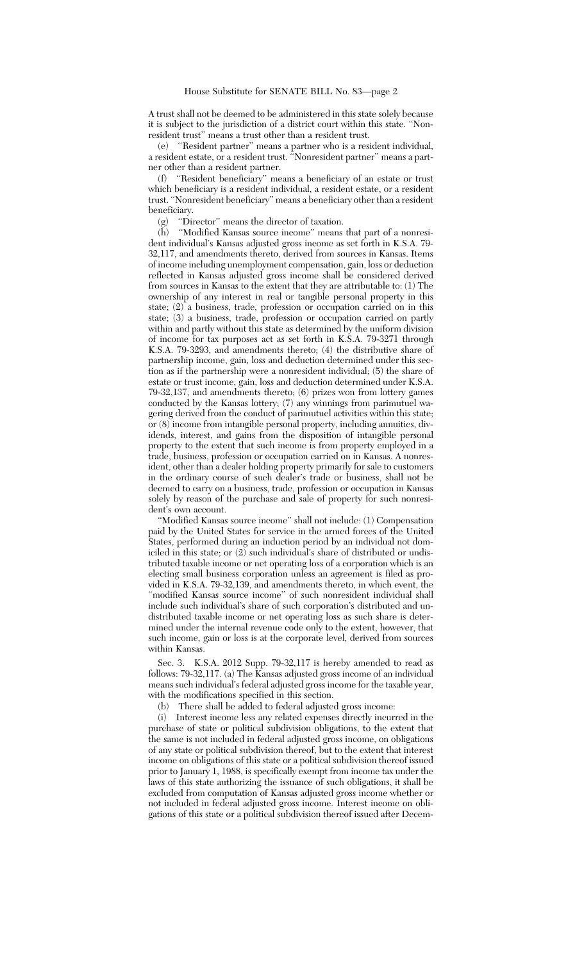A trust shall not be deemed to be administered in this state solely because it is subject to the jurisdiction of a district court within this state. ''Nonresident trust'' means a trust other than a resident trust.

(e) ''Resident partner'' means a partner who is a resident individual, a resident estate, or a resident trust. ''Nonresident partner'' means a partner other than a resident partner.

(f) ''Resident beneficiary'' means a beneficiary of an estate or trust which beneficiary is a resident individual, a resident estate, or a resident trust. ''Nonresident beneficiary'' means a beneficiary other than a resident beneficiary.

(g) ''Director'' means the director of taxation.

(h) ''Modified Kansas source income'' means that part of a nonresident individual's Kansas adjusted gross income as set forth in K.S.A. 79- 32,117, and amendments thereto, derived from sources in Kansas. Items of income including unemployment compensation, gain, loss or deduction reflected in Kansas adjusted gross income shall be considered derived from sources in Kansas to the extent that they are attributable to: (1) The ownership of any interest in real or tangible personal property in this state; (2) a business, trade, profession or occupation carried on in this state; (3) a business, trade, profession or occupation carried on partly within and partly without this state as determined by the uniform division of income for tax purposes act as set forth in K.S.A. 79-3271 through K.S.A. 79-3293, and amendments thereto; (4) the distributive share of partnership income, gain, loss and deduction determined under this section as if the partnership were a nonresident individual; (5) the share of estate or trust income, gain, loss and deduction determined under K.S.A. 79-32,137, and amendments thereto; (6) prizes won from lottery games conducted by the Kansas lottery; (7) any winnings from parimutuel wagering derived from the conduct of parimutuel activities within this state; or (8) income from intangible personal property, including annuities, dividends, interest, and gains from the disposition of intangible personal property to the extent that such income is from property employed in a trade, business, profession or occupation carried on in Kansas. A nonresident, other than a dealer holding property primarily for sale to customers in the ordinary course of such dealer's trade or business, shall not be deemed to carry on a business, trade, profession or occupation in Kansas solely by reason of the purchase and sale of property for such nonresident's own account.

'Modified Kansas source income" shall not include: (1) Compensation paid by the United States for service in the armed forces of the United States, performed during an induction period by an individual not domiciled in this state; or (2) such individual's share of distributed or undistributed taxable income or net operating loss of a corporation which is an electing small business corporation unless an agreement is filed as provided in K.S.A. 79-32,139, and amendments thereto, in which event, the ''modified Kansas source income'' of such nonresident individual shall include such individual's share of such corporation's distributed and undistributed taxable income or net operating loss as such share is determined under the internal revenue code only to the extent, however, that such income, gain or loss is at the corporate level, derived from sources within Kansas.

Sec. 3. K.S.A. 2012 Supp. 79-32,117 is hereby amended to read as follows: 79-32,117. (a) The Kansas adjusted gross income of an individual means such individual's federal adjusted gross income for the taxable year, with the modifications specified in this section.

(b) There shall be added to federal adjusted gross income:

(i) Interest income less any related expenses directly incurred in the purchase of state or political subdivision obligations, to the extent that the same is not included in federal adjusted gross income, on obligations of any state or political subdivision thereof, but to the extent that interest income on obligations of this state or a political subdivision thereof issued prior to January 1, 1988, is specifically exempt from income tax under the laws of this state authorizing the issuance of such obligations, it shall be excluded from computation of Kansas adjusted gross income whether or not included in federal adjusted gross income. Interest income on obligations of this state or a political subdivision thereof issued after Decem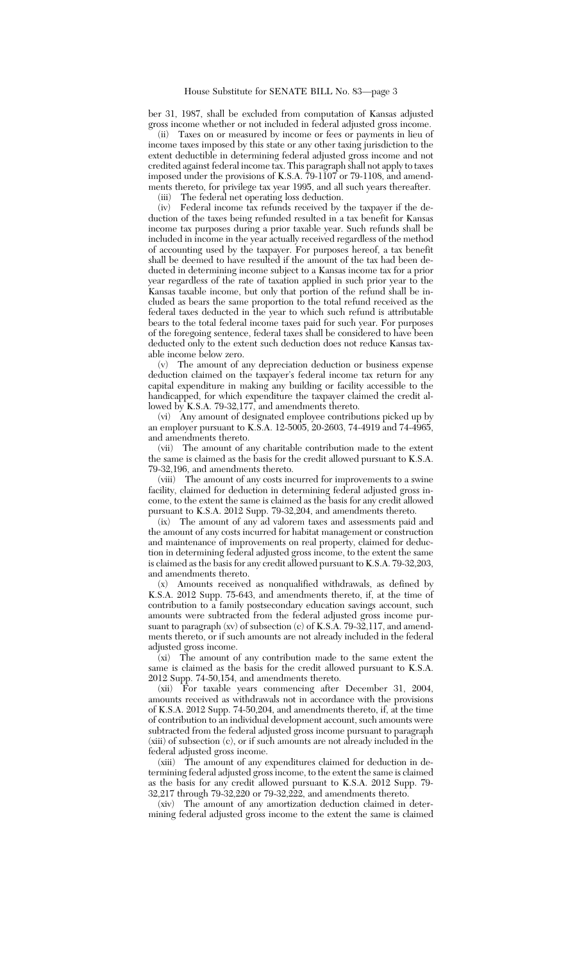ber 31, 1987, shall be excluded from computation of Kansas adjusted gross income whether or not included in federal adjusted gross income.

(ii) Taxes on or measured by income or fees or payments in lieu of income taxes imposed by this state or any other taxing jurisdiction to the extent deductible in determining federal adjusted gross income and not credited against federal income tax. This paragraph shall not apply to taxes imposed under the provisions of K.S.A. 79-1107 or 79-1108, and amendments thereto, for privilege tax year 1995, and all such years thereafter.

(iii) The federal net operating loss deduction.

(iv) Federal income tax refunds received by the taxpayer if the deduction of the taxes being refunded resulted in a tax benefit for Kansas income tax purposes during a prior taxable year. Such refunds shall be included in income in the year actually received regardless of the method of accounting used by the taxpayer. For purposes hereof, a tax benefit shall be deemed to have resulted if the amount of the tax had been deducted in determining income subject to a Kansas income tax for a prior year regardless of the rate of taxation applied in such prior year to the Kansas taxable income, but only that portion of the refund shall be included as bears the same proportion to the total refund received as the federal taxes deducted in the year to which such refund is attributable bears to the total federal income taxes paid for such year. For purposes of the foregoing sentence, federal taxes shall be considered to have been deducted only to the extent such deduction does not reduce Kansas taxable income below zero.

(v) The amount of any depreciation deduction or business expense deduction claimed on the taxpayer's federal income tax return for any capital expenditure in making any building or facility accessible to the handicapped, for which expenditure the taxpayer claimed the credit allowed by K.S.A. 79-32,177, and amendments thereto.

(vi) Any amount of designated employee contributions picked up by an employer pursuant to K.S.A. 12-5005, 20-2603, 74-4919 and 74-4965, and amendments thereto.

(vii) The amount of any charitable contribution made to the extent the same is claimed as the basis for the credit allowed pursuant to K.S.A. 79-32,196, and amendments thereto.

(viii) The amount of any costs incurred for improvements to a swine facility, claimed for deduction in determining federal adjusted gross income, to the extent the same is claimed as the basis for any credit allowed pursuant to K.S.A. 2012 Supp. 79-32,204, and amendments thereto.

(ix) The amount of any ad valorem taxes and assessments paid and the amount of any costs incurred for habitat management or construction and maintenance of improvements on real property, claimed for deduction in determining federal adjusted gross income, to the extent the same is claimed as the basis for any credit allowed pursuant to K.S.A. 79-32,203, and amendments thereto.

(x) Amounts received as nonqualified withdrawals, as defined by K.S.A. 2012 Supp. 75-643, and amendments thereto, if, at the time of contribution to a family postsecondary education savings account, such amounts were subtracted from the federal adjusted gross income pursuant to paragraph (xv) of subsection (c) of K.S.A. 79-32,117, and amendments thereto, or if such amounts are not already included in the federal adjusted gross income.

 $\tilde{f}(x)$  The amount of any contribution made to the same extent the same is claimed as the basis for the credit allowed pursuant to K.S.A. 2012 Supp. 74-50,154, and amendments thereto.

(xii) For taxable years commencing after December 31, 2004, amounts received as withdrawals not in accordance with the provisions of K.S.A. 2012 Supp. 74-50,204, and amendments thereto, if, at the time of contribution to an individual development account, such amounts were subtracted from the federal adjusted gross income pursuant to paragraph (xiii) of subsection (c), or if such amounts are not already included in the federal adjusted gross income.

(xiii) The amount of any expenditures claimed for deduction in determining federal adjusted gross income, to the extent the same is claimed as the basis for any credit allowed pursuant to K.S.A. 2012 Supp. 79- 32,217 through 79-32,220 or 79-32,222, and amendments thereto.

The amount of any amortization deduction claimed in determining federal adjusted gross income to the extent the same is claimed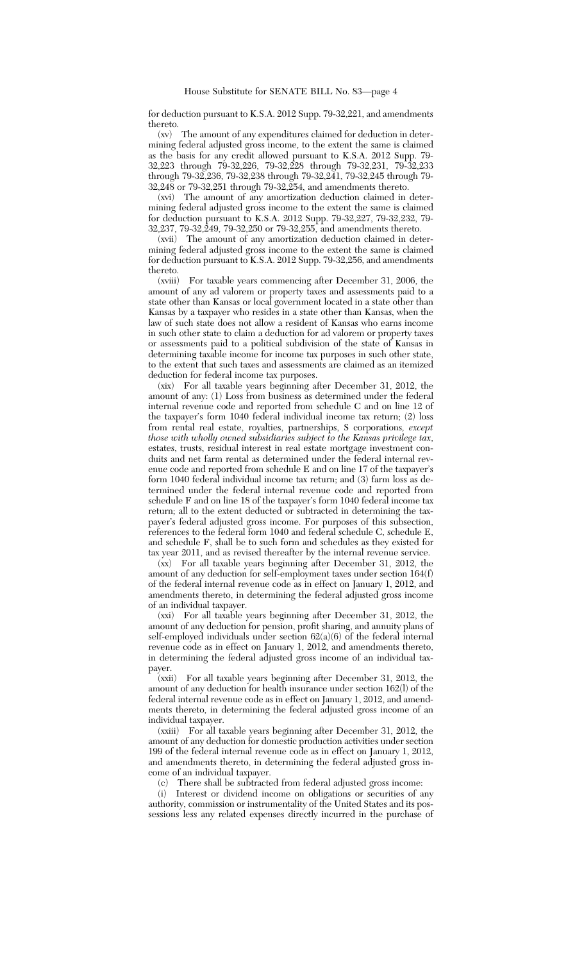for deduction pursuant to K.S.A. 2012 Supp. 79-32,221, and amendments thereto.<br> $(xv)$ 

The amount of any expenditures claimed for deduction in determining federal adjusted gross income, to the extent the same is claimed as the basis for any credit allowed pursuant to K.S.A. 2012 Supp. 79- 32,223 through 79-32,226, 79-32,228 through 79-32,231, 79-32,233 through 79-32,236, 79-32,238 through 79-32,241, 79-32,245 through 79- 32,248 or 79-32,251 through 79-32,254, and amendments thereto.

(xvi) The amount of any amortization deduction claimed in determining federal adjusted gross income to the extent the same is claimed for deduction pursuant to K.S.A. 2012 Supp. 79-32,227, 79-32,232, 79- 32,237, 79-32,249, 79-32,250 or 79-32,255, and amendments thereto.

(xvii) The amount of any amortization deduction claimed in determining federal adjusted gross income to the extent the same is claimed for deduction pursuant to K.S.A. 2012 Supp. 79-32,256, and amendments thereto.

(xviii) For taxable years commencing after December 31, 2006, the amount of any ad valorem or property taxes and assessments paid to a state other than Kansas or local government located in a state other than Kansas by a taxpayer who resides in a state other than Kansas, when the law of such state does not allow a resident of Kansas who earns income in such other state to claim a deduction for ad valorem or property taxes or assessments paid to a political subdivision of the state of Kansas in determining taxable income for income tax purposes in such other state, to the extent that such taxes and assessments are claimed as an itemized deduction for federal income tax purposes.

(xix) For all taxable years beginning after December 31, 2012, the amount of any: (1) Loss from business as determined under the federal internal revenue code and reported from schedule C and on line 12 of the taxpayer's form 1040 federal individual income tax return; (2) loss from rental real estate, royalties, partnerships, S corporations*, except those with wholly owned subsidiaries subject to the Kansas privilege tax*, estates, trusts, residual interest in real estate mortgage investment conduits and net farm rental as determined under the federal internal revenue code and reported from schedule E and on line 17 of the taxpayer's form 1040 federal individual income tax return; and (3) farm loss as determined under the federal internal revenue code and reported from schedule F and on line 18 of the taxpayer's form 1040 federal income tax return; all to the extent deducted or subtracted in determining the taxpayer's federal adjusted gross income. For purposes of this subsection, references to the federal form 1040 and federal schedule C, schedule E, and schedule F, shall be to such form and schedules as they existed for tax year 2011, and as revised thereafter by the internal revenue service.

(xx) For all taxable years beginning after December 31, 2012, the amount of any deduction for self-employment taxes under section 164(f) of the federal internal revenue code as in effect on January 1, 2012, and amendments thereto, in determining the federal adjusted gross income of an individual taxpayer.

(xxi) For all taxable years beginning after December 31, 2012, the amount of any deduction for pension, profit sharing, and annuity plans of self-employed individuals under section  $62(a)(6)$  of the federal internal revenue code as in effect on January 1, 2012, and amendments thereto, in determining the federal adjusted gross income of an individual taxpayer.<br>(xxii)

For all taxable years beginning after December 31, 2012, the amount of any deduction for health insurance under section 162(l) of the federal internal revenue code as in effect on January 1, 2012, and amendments thereto, in determining the federal adjusted gross income of an individual taxpayer.

(xxiii) For all taxable years beginning after December 31, 2012, the amount of any deduction for domestic production activities under section 199 of the federal internal revenue code as in effect on January 1, 2012, and amendments thereto, in determining the federal adjusted gross income of an individual taxpayer.<br>(c) There shall be subtracte

There shall be subtracted from federal adjusted gross income:

(i) Interest or dividend income on obligations or securities of any authority, commission or instrumentality of the United States and its possessions less any related expenses directly incurred in the purchase of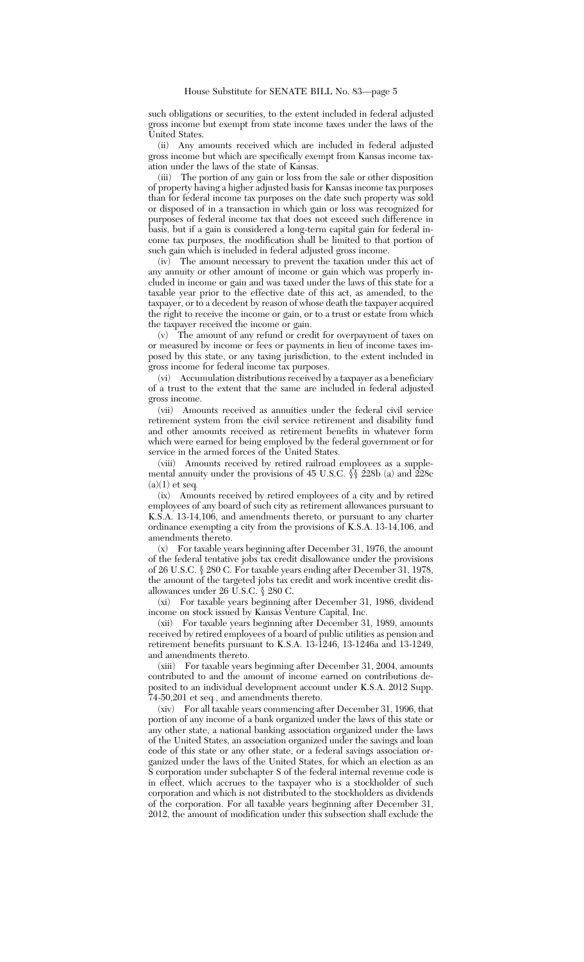such obligations or securities, to the extent included in federal adjusted gross income but exempt from state income taxes under the laws of the United States.

(ii) Any amounts received which are included in federal adjusted gross income but which are specifically exempt from Kansas income taxation under the laws of the state of Kansas.

(iii) The portion of any gain or loss from the sale or other disposition of property having a higher adjusted basis for Kansas income tax purposes than for federal income tax purposes on the date such property was sold or disposed of in a transaction in which gain or loss was recognized for purposes of federal income tax that does not exceed such difference in basis, but if a gain is considered a long-term capital gain for federal income tax purposes, the modification shall be limited to that portion of such gain which is included in federal adjusted gross income.

(iv) The amount necessary to prevent the taxation under this act of any annuity or other amount of income or gain which was properly included in income or gain and was taxed under the laws of this state for a taxable year prior to the effective date of this act, as amended, to the taxpayer, or to a decedent by reason of whose death the taxpayer acquired the right to receive the income or gain, or to a trust or estate from which the taxpayer received the income or gain.

(v) The amount of any refund or credit for overpayment of taxes on or measured by income or fees or payments in lieu of income taxes imposed by this state, or any taxing jurisdiction, to the extent included in gross income for federal income tax purposes.

(vi) Accumulation distributions received by a taxpayer as a beneficiary of a trust to the extent that the same are included in federal adjusted gross income.

(vii) Amounts received as annuities under the federal civil service retirement system from the civil service retirement and disability fund and other amounts received as retirement benefits in whatever form which were earned for being employed by the federal government or for service in the armed forces of the United States.

(viii) Amounts received by retired railroad employees as a supplemental annuity under the provisions of 45 U.S.C.  $\S$  228b (a) and 228c (a)(1) et seq*.*

(ix) Amounts received by retired employees of a city and by retired employees of any board of such city as retirement allowances pursuant to K.S.A. 13-14,106, and amendments thereto, or pursuant to any charter ordinance exempting a city from the provisions of K.S.A. 13-14,106, and amendments thereto.

(x) For taxable years beginning after December 31, 1976, the amount of the federal tentative jobs tax credit disallowance under the provisions of 26 U.S.C. § 280 C. For taxable years ending after December 31, 1978, the amount of the targeted jobs tax credit and work incentive credit disallowances under 26 U.S.C. § 280 C.

(xi) For taxable years beginning after December 31, 1986, dividend income on stock issued by Kansas Venture Capital, Inc.

(xii) For taxable years beginning after December 31, 1989, amounts received by retired employees of a board of public utilities as pension and retirement benefits pursuant to K.S.A. 13-1246, 13-1246a and 13-1249, and amendments thereto.

(xiii) For taxable years beginning after December 31, 2004, amounts contributed to and the amount of income earned on contributions deposited to an individual development account under K.S.A. 2012 Supp. 74-50,201 et seq*.*, and amendments thereto.

(xiv) For all taxable years commencing after December 31, 1996, that portion of any income of a bank organized under the laws of this state or any other state, a national banking association organized under the laws of the United States, an association organized under the savings and loan code of this state or any other state, or a federal savings association organized under the laws of the United States, for which an election as an S corporation under subchapter S of the federal internal revenue code is in effect, which accrues to the taxpayer who is a stockholder of such corporation and which is not distributed to the stockholders as dividends of the corporation. For all taxable years beginning after December 31, 2012, the amount of modification under this subsection shall exclude the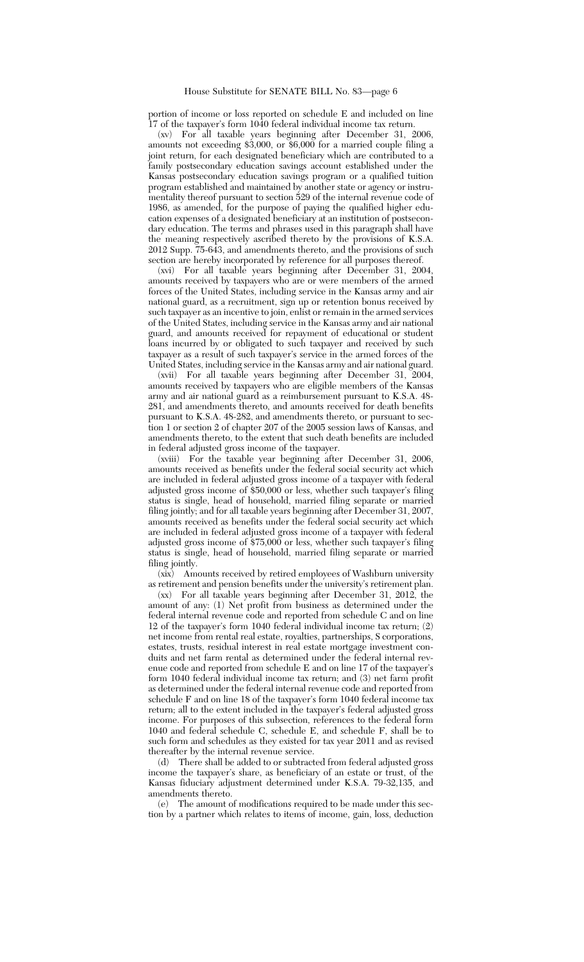## House Substitute for SENATE BILL No. 83—page 6

portion of income or loss reported on schedule E and included on line 17 of the taxpayer's form 1040 federal individual income tax return.

(xv) For all taxable years beginning after December 31, 2006, amounts not exceeding \$3,000, or \$6,000 for a married couple filing a joint return, for each designated beneficiary which are contributed to a family postsecondary education savings account established under the Kansas postsecondary education savings program or a qualified tuition program established and maintained by another state or agency or instrumentality thereof pursuant to section 529 of the internal revenue code of 1986, as amended, for the purpose of paying the qualified higher education expenses of a designated beneficiary at an institution of postsecondary education. The terms and phrases used in this paragraph shall have the meaning respectively ascribed thereto by the provisions of K.S.A. 2012 Supp. 75-643, and amendments thereto, and the provisions of such section are hereby incorporated by reference for all purposes thereof.

(xvi) For all taxable years beginning after December 31, 2004, amounts received by taxpayers who are or were members of the armed forces of the United States, including service in the Kansas army and air national guard, as a recruitment, sign up or retention bonus received by such taxpayer as an incentive to join, enlist or remain in the armed services of the United States, including service in the Kansas army and air national guard, and amounts received for repayment of educational or student loans incurred by or obligated to such taxpayer and received by such taxpayer as a result of such taxpayer's service in the armed forces of the United States, including service in the Kansas army and air national guard.

(xvii) For all taxable years beginning after December 31, 2004, amounts received by taxpayers who are eligible members of the Kansas army and air national guard as a reimbursement pursuant to K.S.A. 48- 281, and amendments thereto, and amounts received for death benefits pursuant to K.S.A. 48-282, and amendments thereto, or pursuant to section 1 or section 2 of chapter 207 of the 2005 session laws of Kansas, and amendments thereto, to the extent that such death benefits are included in federal adjusted gross income of the taxpayer.

(xviii) For the taxable year beginning after December 31, 2006, amounts received as benefits under the federal social security act which are included in federal adjusted gross income of a taxpayer with federal adjusted gross income of \$50,000 or less, whether such taxpayer's filing status is single, head of household, married filing separate or married filing jointly; and for all taxable years beginning after December 31, 2007, amounts received as benefits under the federal social security act which are included in federal adjusted gross income of a taxpayer with federal adjusted gross income of \$75,000 or less, whether such taxpayer's filing status is single, head of household, married filing separate or married filing jointly.

(xix) Amounts received by retired employees of Washburn university as retirement and pension benefits under the university's retirement plan.

(xx) For all taxable years beginning after December 31, 2012, the amount of any: (1) Net profit from business as determined under the federal internal revenue code and reported from schedule C and on line 12 of the taxpayer's form 1040 federal individual income tax return; (2) net income from rental real estate, royalties, partnerships, S corporations, estates, trusts, residual interest in real estate mortgage investment conduits and net farm rental as determined under the federal internal revenue code and reported from schedule E and on line 17 of the taxpayer's form 1040 federal individual income tax return; and (3) net farm profit as determined under the federal internal revenue code and reported from schedule F and on line 18 of the taxpayer's form 1040 federal income tax return; all to the extent included in the taxpayer's federal adjusted gross income. For purposes of this subsection, references to the federal form 1040 and federal schedule C, schedule E, and schedule F, shall be to such form and schedules as they existed for tax year 2011 and as revised thereafter by the internal revenue service.

(d) There shall be added to or subtracted from federal adjusted gross income the taxpayer's share, as beneficiary of an estate or trust, of the Kansas fiduciary adjustment determined under K.S.A. 79-32,135, and amendments thereto.

(e) The amount of modifications required to be made under this section by a partner which relates to items of income, gain, loss, deduction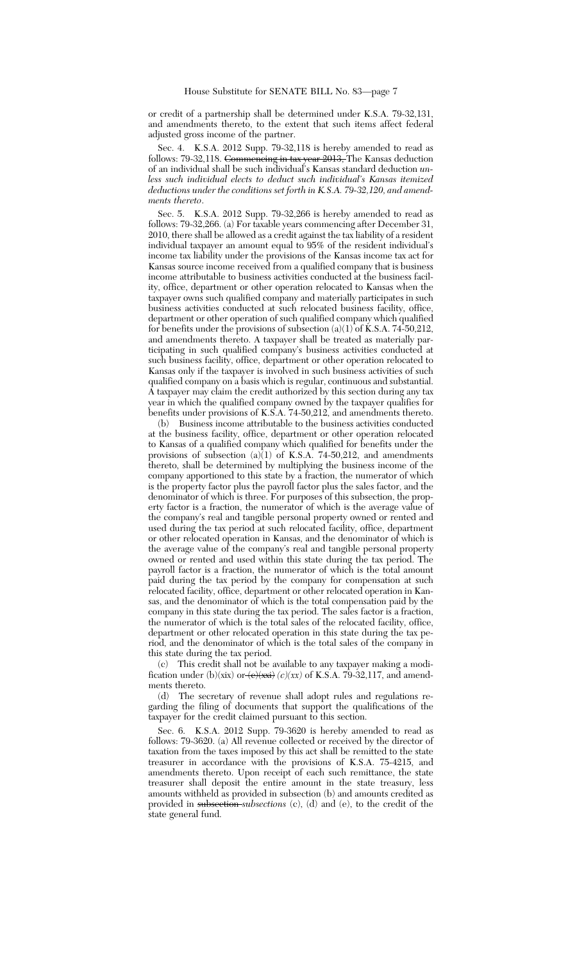or credit of a partnership shall be determined under K.S.A. 79-32,131, and amendments thereto, to the extent that such items affect federal adjusted gross income of the partner.

Sec. 4. K.S.A. 2012 Supp. 79-32,118 is hereby amended to read as follows: 79-32,118. Commencing in tax year 2013, The Kansas deduction of an individual shall be such individual's Kansas standard deduction *unless such individual elects to deduct such individual's Kansas itemized deductions under the conditions set forth in K.S.A. 79-32,120, and amendments thereto*.

Sec. 5. K.S.A. 2012 Supp. 79-32,266 is hereby amended to read as follows: 79-32,266. (a) For taxable years commencing after December 31, 2010, there shall be allowed as a credit against the tax liability of a resident individual taxpayer an amount equal to 95% of the resident individual's income tax liability under the provisions of the Kansas income tax act for Kansas source income received from a qualified company that is business income attributable to business activities conducted at the business facility, office, department or other operation relocated to Kansas when the taxpayer owns such qualified company and materially participates in such business activities conducted at such relocated business facility, office, department or other operation of such qualified company which qualified for benefits under the provisions of subsection  $(a)(1)$  of K.S.A. 74-50,212, and amendments thereto. A taxpayer shall be treated as materially participating in such qualified company's business activities conducted at such business facility, office, department or other operation relocated to Kansas only if the taxpayer is involved in such business activities of such qualified company on a basis which is regular, continuous and substantial.  $\overline{A}$  taxpayer may claim the credit authorized by this section during any tax year in which the qualified company owned by the taxpayer qualifies for benefits under provisions of K.S.A. 74-50,212, and amendments thereto.

(b) Business income attributable to the business activities conducted at the business facility, office, department or other operation relocated to Kansas of a qualified company which qualified for benefits under the provisions of subsection  $(a)(1)$  of K.S.A. 74-50,212, and amendments thereto, shall be determined by multiplying the business income of the company apportioned to this state by a fraction, the numerator of which is the property factor plus the payroll factor plus the sales factor, and the denominator of which is three. For purposes of this subsection, the property factor is a fraction, the numerator of which is the average value of the company's real and tangible personal property owned or rented and used during the tax period at such relocated facility, office, department or other relocated operation in Kansas, and the denominator of which is the average value of the company's real and tangible personal property owned or rented and used within this state during the tax period. The payroll factor is a fraction, the numerator of which is the total amount paid during the tax period by the company for compensation at such relocated facility, office, department or other relocated operation in Kansas, and the denominator of which is the total compensation paid by the company in this state during the tax period. The sales factor is a fraction, the numerator of which is the total sales of the relocated facility, office, department or other relocated operation in this state during the tax period, and the denominator of which is the total sales of the company in this state during the tax period.

(c) This credit shall not be available to any taxpayer making a modification under (b)(xix) or  $\left(\frac{e}{x}\right)$  *(c)(xx)* of K.S.A. 79-32,117, and amendments thereto.

(d) The secretary of revenue shall adopt rules and regulations regarding the filing of documents that support the qualifications of the taxpayer for the credit claimed pursuant to this section.

Sec. 6. K.S.A. 2012 Supp. 79-3620 is hereby amended to read as follows: 79-3620. (a) All revenue collected or received by the director of taxation from the taxes imposed by this act shall be remitted to the state treasurer in accordance with the provisions of K.S.A. 75-4215, and amendments thereto. Upon receipt of each such remittance, the state treasurer shall deposit the entire amount in the state treasury, less amounts withheld as provided in subsection (b) and amounts credited as provided in subsection *subsections* (c), (d) and (e), to the credit of the state general fund.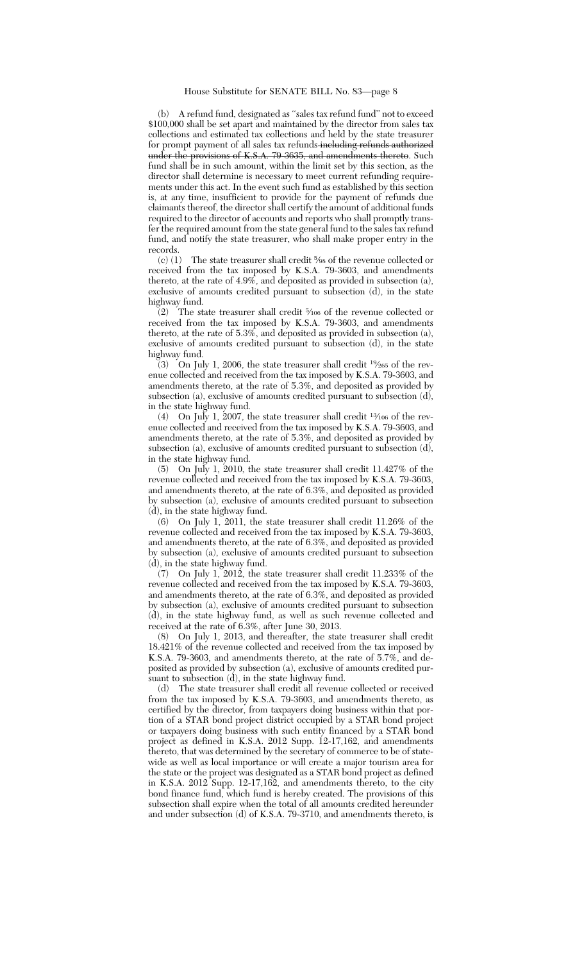(b) A refund fund, designated as ''sales tax refund fund'' not to exceed \$100,000 shall be set apart and maintained by the director from sales tax collections and estimated tax collections and held by the state treasurer for prompt payment of all sales tax refunds-including refunds authorized under the provisions of K.S.A. 79-3635, and amendments thereto. Such fund shall be in such amount, within the limit set by this section, as the director shall determine is necessary to meet current refunding requirements under this act. In the event such fund as established by this section is, at any time, insufficient to provide for the payment of refunds due claimants thereof, the director shall certify the amount of additional funds required to the director of accounts and reports who shall promptly transfer the required amount from the state general fund to the sales tax refund fund, and notify the state treasurer, who shall make proper entry in the records.

(c) (1) The state treasurer shall credit 5⁄9s of the revenue collected or received from the tax imposed by K.S.A. 79-3603, and amendments thereto, at the rate of 4.9%, and deposited as provided in subsection (a), exclusive of amounts credited pursuant to subsection (d), in the state highway fund.

(2) The state treasurer shall credit <sup>5</sup> ⁄106 of the revenue collected or received from the tax imposed by K.S.A. 79-3603, and amendments thereto, at the rate of 5.3%, and deposited as provided in subsection (a), exclusive of amounts credited pursuant to subsection (d), in the state highway fund.

(3) On July 1, 2006, the state treasurer shall credit <sup>19</sup>⁄<sup>265</sup> of the revenue collected and received from the tax imposed by K.S.A. 79-3603, and amendments thereto, at the rate of 5.3%, and deposited as provided by subsection (a), exclusive of amounts credited pursuant to subsection (d), in the state highway fund.<br>(4) On July 1 2007  $\pm$ 

On July 1, 2007, the state treasurer shall credit  $\frac{13}{106}$  of the revenue collected and received from the tax imposed by K.S.A. 79-3603, and amendments thereto, at the rate of 5.3%, and deposited as provided by subsection (a), exclusive of amounts credited pursuant to subsection (d), in the state highway fund.

(5) On July 1, 2010, the state treasurer shall credit 11.427% of the revenue collected and received from the tax imposed by K.S.A. 79-3603, and amendments thereto, at the rate of 6.3%, and deposited as provided by subsection (a), exclusive of amounts credited pursuant to subsection (d), in the state highway fund.

(6) On July 1, 2011, the state treasurer shall credit 11.26% of the revenue collected and received from the tax imposed by K.S.A. 79-3603, and amendments thereto, at the rate of 6.3%, and deposited as provided by subsection (a), exclusive of amounts credited pursuant to subsection (d), in the state highway fund.

(7) On July 1, 2012, the state treasurer shall credit 11.233% of the revenue collected and received from the tax imposed by K.S.A. 79-3603, and amendments thereto, at the rate of 6.3%, and deposited as provided by subsection (a), exclusive of amounts credited pursuant to subsection (d), in the state highway fund, as well as such revenue collected and received at the rate of 6.3%, after June 30, 2013.<br>(8) On July 1, 2013, and thereafter, the state

(8) On July 1, 2013, and thereafter, the state treasurer shall credit 18.421% of the revenue collected and received from the tax imposed by K.S.A. 79-3603, and amendments thereto, at the rate of 5.7%, and deposited as provided by subsection (a), exclusive of amounts credited pursuant to subsection (d), in the state highway fund.

(d) The state treasurer shall credit all revenue collected or received from the tax imposed by K.S.A. 79-3603, and amendments thereto, as certified by the director, from taxpayers doing business within that portion of a STAR bond project district occupied by a STAR bond project or taxpayers doing business with such entity financed by a STAR bond project as defined in K.S.A. 2012 Supp. 12-17,162, and amendments thereto, that was determined by the secretary of commerce to be of statewide as well as local importance or will create a major tourism area for the state or the project was designated as a STAR bond project as defined in K.S.A. 2012 Supp. 12-17,162, and amendments thereto, to the city bond finance fund, which fund is hereby created. The provisions of this subsection shall expire when the total of all amounts credited hereunder and under subsection (d) of K.S.A. 79-3710, and amendments thereto, is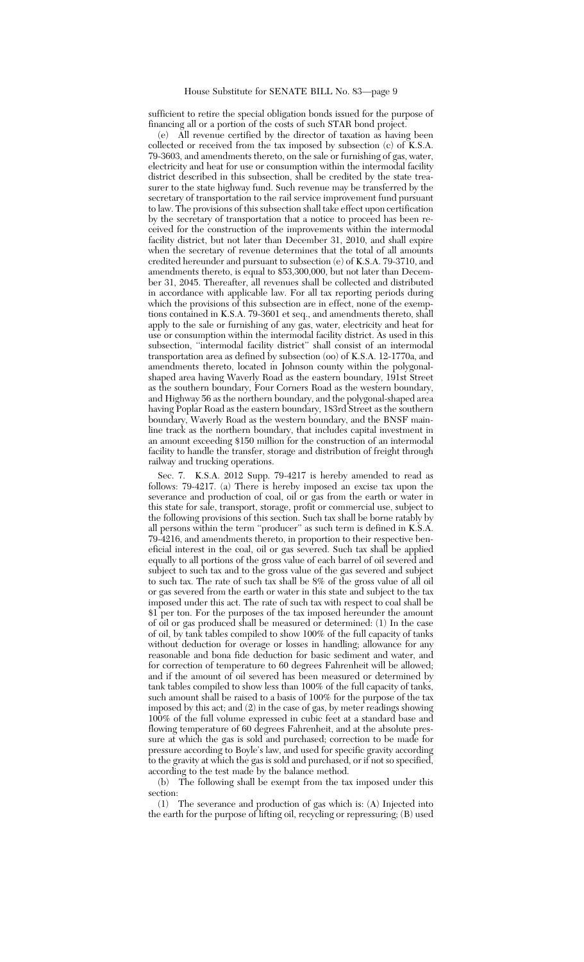## House Substitute for SENATE BILL No. 83—page 9

sufficient to retire the special obligation bonds issued for the purpose of financing all or a portion of the costs of such STAR bond project.

(e) All revenue certified by the director of taxation as having been collected or received from the tax imposed by subsection (c) of K.S.A. 79-3603, and amendments thereto, on the sale or furnishing of gas, water, electricity and heat for use or consumption within the intermodal facility district described in this subsection, shall be credited by the state treasurer to the state highway fund. Such revenue may be transferred by the secretary of transportation to the rail service improvement fund pursuant to law. The provisions of this subsection shall take effect upon certification by the secretary of transportation that a notice to proceed has been received for the construction of the improvements within the intermodal facility district, but not later than December 31, 2010, and shall expire when the secretary of revenue determines that the total of all amounts credited hereunder and pursuant to subsection (e) of K.S.A. 79-3710, and amendments thereto, is equal to \$53,300,000, but not later than December 31, 2045. Thereafter, all revenues shall be collected and distributed in accordance with applicable law. For all tax reporting periods during which the provisions of this subsection are in effect, none of the exemptions contained in K.S.A. 79-3601 et seq., and amendments thereto, shall apply to the sale or furnishing of any gas, water, electricity and heat for use or consumption within the intermodal facility district. As used in this subsection, ''intermodal facility district'' shall consist of an intermodal transportation area as defined by subsection (oo) of K.S.A. 12-1770a, and amendments thereto, located in Johnson county within the polygonalshaped area having Waverly Road as the eastern boundary, 191st Street as the southern boundary, Four Corners Road as the western boundary, and Highway 56 as the northern boundary, and the polygonal-shaped area having Poplar Road as the eastern boundary, 183rd Street as the southern boundary, Waverly Road as the western boundary, and the BNSF mainline track as the northern boundary, that includes capital investment in an amount exceeding \$150 million for the construction of an intermodal facility to handle the transfer, storage and distribution of freight through railway and trucking operations.

Sec. 7. K.S.A. 2012 Supp. 79-4217 is hereby amended to read as follows: 79-4217. (a) There is hereby imposed an excise tax upon the severance and production of coal, oil or gas from the earth or water in this state for sale, transport, storage, profit or commercial use, subject to the following provisions of this section. Such tax shall be borne ratably by all persons within the term ''producer'' as such term is defined in K.S.A. 79-4216, and amendments thereto, in proportion to their respective beneficial interest in the coal, oil or gas severed. Such tax shall be applied equally to all portions of the gross value of each barrel of oil severed and subject to such tax and to the gross value of the gas severed and subject to such tax. The rate of such tax shall be 8% of the gross value of all oil or gas severed from the earth or water in this state and subject to the tax imposed under this act. The rate of such tax with respect to coal shall be \$1 per ton. For the purposes of the tax imposed hereunder the amount of oil or gas produced shall be measured or determined: (1) In the case of oil, by tank tables compiled to show 100% of the full capacity of tanks without deduction for overage or losses in handling; allowance for any reasonable and bona fide deduction for basic sediment and water, and for correction of temperature to 60 degrees Fahrenheit will be allowed; and if the amount of oil severed has been measured or determined by tank tables compiled to show less than 100% of the full capacity of tanks, such amount shall be raised to a basis of 100% for the purpose of the tax imposed by this act; and (2) in the case of gas, by meter readings showing 100% of the full volume expressed in cubic feet at a standard base and flowing temperature of 60 degrees Fahrenheit, and at the absolute pressure at which the gas is sold and purchased; correction to be made for pressure according to Boyle's law, and used for specific gravity according to the gravity at which the gas is sold and purchased, or if not so specified, according to the test made by the balance method.

(b) The following shall be exempt from the tax imposed under this section:

(1) The severance and production of gas which is: (A) Injected into the earth for the purpose of lifting oil, recycling or repressuring; (B) used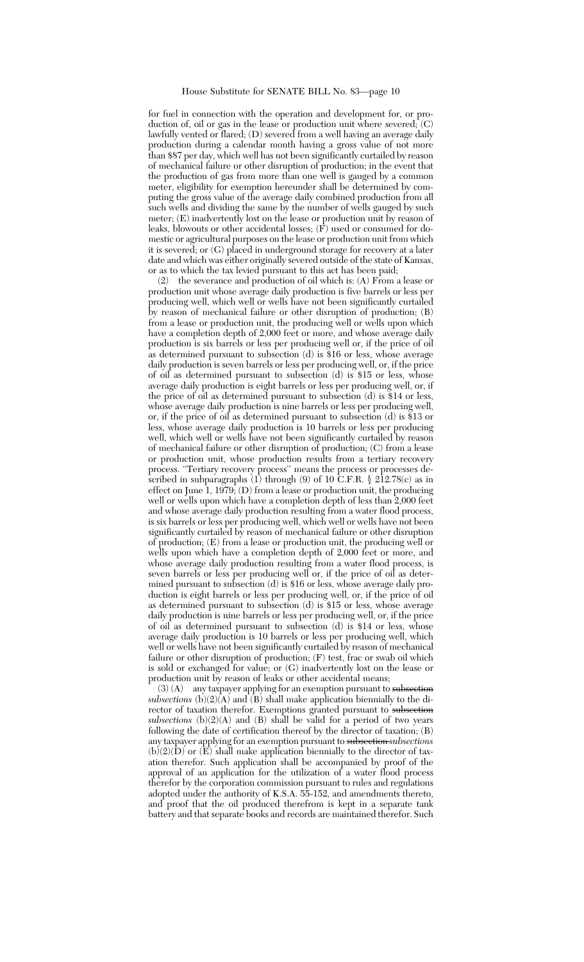for fuel in connection with the operation and development for, or production of, oil or gas in the lease or production unit where severed; (C) lawfully vented or flared; (D) severed from a well having an average daily production during a calendar month having a gross value of not more than \$87 per day, which well has not been significantly curtailed by reason of mechanical failure or other disruption of production; in the event that the production of gas from more than one well is gauged by a common meter, eligibility for exemption hereunder shall be determined by computing the gross value of the average daily combined production from all such wells and dividing the same by the number of wells gauged by such meter; (E) inadvertently lost on the lease or production unit by reason of leaks, blowouts or other accidental losses; (F) used or consumed for domestic or agricultural purposes on the lease or production unit from which it is severed; or (G) placed in underground storage for recovery at a later date and which was either originally severed outside of the state of Kansas, or as to which the tax levied pursuant to this act has been paid;

(2) the severance and production of oil which is: (A) From a lease or production unit whose average daily production is five barrels or less per producing well, which well or wells have not been significantly curtailed by reason of mechanical failure or other disruption of production; (B) from a lease or production unit, the producing well or wells upon which have a completion depth of 2,000 feet or more, and whose average daily production is six barrels or less per producing well or, if the price of oil as determined pursuant to subsection (d) is \$16 or less, whose average daily production is seven barrels or less per producing well, or, if the price of oil as determined pursuant to subsection (d) is \$15 or less, whose average daily production is eight barrels or less per producing well, or, if the price of oil as determined pursuant to subsection (d) is \$14 or less, whose average daily production is nine barrels or less per producing well, or, if the price of oil as determined pursuant to subsection  $(d)$  is \$13 or less, whose average daily production is 10 barrels or less per producing well, which well or wells have not been significantly curtailed by reason of mechanical failure or other disruption of production; (C) from a lease or production unit, whose production results from a tertiary recovery process. ''Tertiary recovery process'' means the process or processes described in subparagraphs (1) through (9) of 10 C.F.R. § 212.78(c) as in effect on June 1, 1979; (D) from a lease or production unit, the producing well or wells upon which have a completion depth of less than 2,000 feet and whose average daily production resulting from a water flood process, is six barrels or less per producing well, which well or wells have not been significantly curtailed by reason of mechanical failure or other disruption of production; (E) from a lease or production unit, the producing well or wells upon which have a completion depth of 2,000 feet or more, and whose average daily production resulting from a water flood process, is seven barrels or less per producing well or, if the price of oil as determined pursuant to subsection (d) is \$16 or less, whose average daily production is eight barrels or less per producing well, or, if the price of oil as determined pursuant to subsection (d) is \$15 or less, whose average daily production is nine barrels or less per producing well, or, if the price of oil as determined pursuant to subsection (d) is \$14 or less, whose average daily production is 10 barrels or less per producing well, which well or wells have not been significantly curtailed by reason of mechanical failure or other disruption of production; (F) test, frac or swab oil which is sold or exchanged for value; or (G) inadvertently lost on the lease or production unit by reason of leaks or other accidental means;

(3) (A) any taxpayer applying for an exemption pursuant to subsection *subsections* (b) $(2)(A)$  and  $(B)$  shall make application biennially to the director of taxation therefor. Exemptions granted pursuant to subsection *subsections* (b)(2)(A) and (B) shall be valid for a period of two years following the date of certification thereof by the director of taxation; (B) any taxpayer applying for an exemption pursuant to subsection *subsections*  $(b)(2)(\dot{D})$  or  $(\dot{E})$  shall make application biennially to the director of taxation therefor. Such application shall be accompanied by proof of the approval of an application for the utilization of a water flood process therefor by the corporation commission pursuant to rules and regulations adopted under the authority of K.S.A. 55-152, and amendments thereto, and proof that the oil produced therefrom is kept in a separate tank battery and that separate books and records are maintained therefor. Such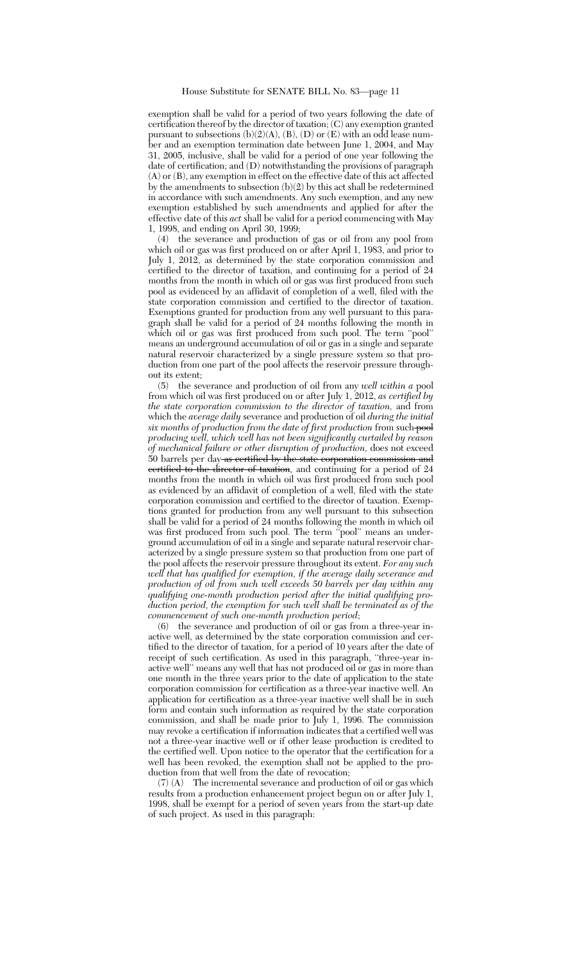exemption shall be valid for a period of two years following the date of certification thereof by the director of taxation; (C) any exemption granted pursuant to subsections  $(b)(2)(A)$ ,  $(B)$ ,  $(D)$  or  $(E)$  with an odd lease number and an exemption termination date between June 1, 2004, and May 31, 2005, inclusive, shall be valid for a period of one year following the date of certification; and (D) notwithstanding the provisions of paragraph (A) or (B), any exemption in effect on the effective date of this act affected by the amendments to subsection (b)(2) by this act shall be redetermined in accordance with such amendments. Any such exemption, and any new exemption established by such amendments and applied for after the effective date of this *act* shall be valid for a period commencing with May 1, 1998, and ending on April 30, 1999;

(4) the severance and production of gas or oil from any pool from which oil or gas was first produced on or after April 1, 1983, and prior to July 1, 2012, as determined by the state corporation commission and certified to the director of taxation, and continuing for a period of 24 months from the month in which oil or gas was first produced from such pool as evidenced by an affidavit of completion of a well, filed with the state corporation commission and certified to the director of taxation. Exemptions granted for production from any well pursuant to this paragraph shall be valid for a period of 24 months following the month in which oil or gas was first produced from such pool. The term "pool" means an underground accumulation of oil or gas in a single and separate natural reservoir characterized by a single pressure system so that production from one part of the pool affects the reservoir pressure throughout its extent;

(5) the severance and production of oil from any *well within a* pool from which oil was first produced on or after July 1, 2012, *as certified by the state corporation commission to the director of taxation,* and from which the *average daily* severance and production of oil *during the initial six months of production from the date of first production* from such pool *producing well, which well has not been significantly curtailed by reason of mechanical failure or other disruption of production,* does not exceed  $50$  barrels per day as certified by the state corporation commission and certified to the director of taxation, and continuing for a period of 24 months from the month in which oil was first produced from such pool as evidenced by an affidavit of completion of a well, filed with the state corporation commission and certified to the director of taxation. Exemptions granted for production from any well pursuant to this subsection shall be valid for a period of 24 months following the month in which oil was first produced from such pool. The term ''pool'' means an underground accumulation of oil in a single and separate natural reservoir characterized by a single pressure system so that production from one part of the pool affects the reservoir pressure throughout its extent. *For any such well that has qualified for exemption, if the average daily severance and production of oil from such well exceeds 50 barrels per day within any qualifying one-month production period after the initial qualifying production period, the exemption for such well shall be terminated as of the commencement of such one-month production period*;

(6) the severance and production of oil or gas from a three-year inactive well, as determined by the state corporation commission and certified to the director of taxation, for a period of 10 years after the date of receipt of such certification. As used in this paragraph, "three-year inactive well'' means any well that has not produced oil or gas in more than one month in the three years prior to the date of application to the state corporation commission for certification as a three-year inactive well. An application for certification as a three-year inactive well shall be in such form and contain such information as required by the state corporation commission, and shall be made prior to July 1, 1996. The commission may revoke a certification if information indicates that a certified well was not a three-year inactive well or if other lease production is credited to the certified well. Upon notice to the operator that the certification for a well has been revoked, the exemption shall not be applied to the production from that well from the date of revocation;

(7) (A) The incremental severance and production of oil or gas which results from a production enhancement project begun on or after July 1, 1998, shall be exempt for a period of seven years from the start-up date of such project. As used in this paragraph: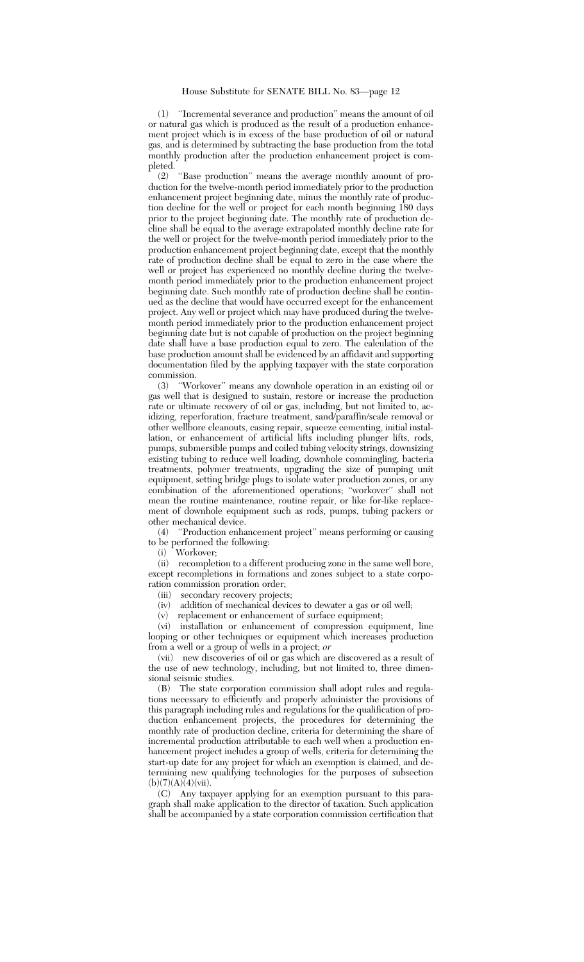(1) ''Incremental severance and production'' means the amount of oil or natural gas which is produced as the result of a production enhancement project which is in excess of the base production of oil or natural gas, and is determined by subtracting the base production from the total monthly production after the production enhancement project is completed.

(2) ''Base production'' means the average monthly amount of production for the twelve-month period immediately prior to the production enhancement project beginning date, minus the monthly rate of production decline for the well or project for each month beginning 180 days prior to the project beginning date. The monthly rate of production decline shall be equal to the average extrapolated monthly decline rate for the well or project for the twelve-month period immediately prior to the production enhancement project beginning date, except that the monthly rate of production decline shall be equal to zero in the case where the well or project has experienced no monthly decline during the twelvemonth period immediately prior to the production enhancement project beginning date. Such monthly rate of production decline shall be continued as the decline that would have occurred except for the enhancement project. Any well or project which may have produced during the twelvemonth period immediately prior to the production enhancement project beginning date but is not capable of production on the project beginning date shall have a base production equal to zero. The calculation of the base production amount shall be evidenced by an affidavit and supporting documentation filed by the applying taxpayer with the state corporation commission.

(3) ''Workover'' means any downhole operation in an existing oil or gas well that is designed to sustain, restore or increase the production rate or ultimate recovery of oil or gas, including, but not limited to, acidizing, reperforation, fracture treatment, sand/paraffin/scale removal or other wellbore cleanouts, casing repair, squeeze cementing, initial installation, or enhancement of artificial lifts including plunger lifts, rods, pumps, submersible pumps and coiled tubing velocity strings, downsizing existing tubing to reduce well loading, downhole commingling, bacteria treatments, polymer treatments, upgrading the size of pumping unit equipment, setting bridge plugs to isolate water production zones, or any combination of the aforementioned operations; ''workover'' shall not mean the routine maintenance, routine repair, or like for-like replacement of downhole equipment such as rods, pumps, tubing packers or other mechanical device.

(4) ''Production enhancement project'' means performing or causing to be performed the following:

(i) Workover;

(ii) recompletion to a different producing zone in the same well bore, except recompletions in formations and zones subject to a state corporation commission proration order;

(iii) secondary recovery projects;

(iv) addition of mechanical devices to dewater a gas or oil well;<br>(y) replacement or enhancement of surface equipment:

replacement or enhancement of surface equipment;

(vi) installation or enhancement of compression equipment, line looping or other techniques or equipment which increases production from a well or a group of wells in a project; *or*

(vii) new discoveries of oil or gas which are discovered as a result of the use of new technology, including, but not limited to, three dimensional seismic studies.

(B) The state corporation commission shall adopt rules and regulations necessary to efficiently and properly administer the provisions of this paragraph including rules and regulations for the qualification of production enhancement projects, the procedures for determining the monthly rate of production decline, criteria for determining the share of incremental production attributable to each well when a production enhancement project includes a group of wells, criteria for determining the start-up date for any project for which an exemption is claimed, and determining new qualifying technologies for the purposes of subsection  $(b)(7)(A)\bar{(4)}$ (vii).

(C) Any taxpayer applying for an exemption pursuant to this paragraph shall make application to the director of taxation. Such application shall be accompanied by a state corporation commission certification that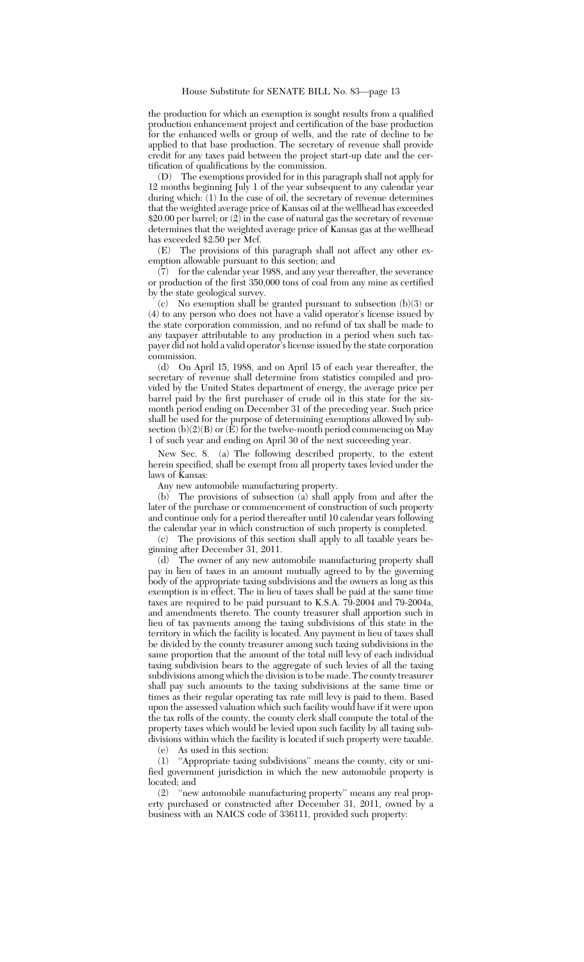the production for which an exemption is sought results from a qualified production enhancement project and certification of the base production for the enhanced wells or group of wells, and the rate of decline to be applied to that base production. The secretary of revenue shall provide credit for any taxes paid between the project start-up date and the certification of qualifications by the commission.

(D) The exemptions provided for in this paragraph shall not apply for 12 months beginning July 1 of the year subsequent to any calendar year during which: (1) In the case of oil, the secretary of revenue determines that the weighted average price of Kansas oil at the wellhead has exceeded \$20.00 per barrel; or (2) in the case of natural gas the secretary of revenue determines that the weighted average price of Kansas gas at the wellhead has exceeded \$2.50 per Mcf.

(E) The provisions of this paragraph shall not affect any other exemption allowable pursuant to this section; and

(7) for the calendar year 1988, and any year thereafter, the severance or production of the first 350,000 tons of coal from any mine as certified by the state geological survey.

(c) No exemption shall be granted pursuant to subsection (b)(3) or (4) to any person who does not have a valid operator's license issued by the state corporation commission, and no refund of tax shall be made to any taxpayer attributable to any production in a period when such taxpayer did not hold a valid operator's license issued by the state corporation commission.

(d) On April 15, 1988, and on April 15 of each year thereafter, the secretary of revenue shall determine from statistics compiled and provided by the United States department of energy, the average price per barrel paid by the first purchaser of crude oil in this state for the sixmonth period ending on December 31 of the preceding year. Such price shall be used for the purpose of determining exemptions allowed by subsection  $(b)(2)(B)$  or  $(\tilde{E})$  for the twelve-month period commencing on May 1 of such year and ending on April 30 of the next succeeding year.

New Sec. 8. (a) The following described property, to the extent herein specified, shall be exempt from all property taxes levied under the laws of Kansas:

Any new automobile manufacturing property.

(b) The provisions of subsection (a) shall apply from and after the later of the purchase or commencement of construction of such property and continue only for a period thereafter until 10 calendar years following the calendar year in which construction of such property is completed.

(c) The provisions of this section shall apply to all taxable years beginning after December 31, 2011.

(d) The owner of any new automobile manufacturing property shall pay in lieu of taxes in an amount mutually agreed to by the governing body of the appropriate taxing subdivisions and the owners as long as this exemption is in effect. The in lieu of taxes shall be paid at the same time taxes are required to be paid pursuant to K.S.A. 79-2004 and 79-2004a, and amendments thereto. The county treasurer shall apportion such in lieu of tax payments among the taxing subdivisions of this state in the territory in which the facility is located. Any payment in lieu of taxes shall be divided by the county treasurer among such taxing subdivisions in the same proportion that the amount of the total mill levy of each individual taxing subdivision bears to the aggregate of such levies of all the taxing subdivisions among which the division is to be made. The county treasurer shall pay such amounts to the taxing subdivisions at the same time or times as their regular operating tax rate mill levy is paid to them. Based upon the assessed valuation which such facility would have if it were upon the tax rolls of the county, the county clerk shall compute the total of the property taxes which would be levied upon such facility by all taxing subdivisions within which the facility is located if such property were taxable.

(e) As used in this section:

(1) ''Appropriate taxing subdivisions'' means the county, city or unified government jurisdiction in which the new automobile property is located; and

(2) ''new automobile manufacturing property'' means any real property purchased or constructed after December 31, 2011, owned by a business with an NAICS code of 336111, provided such property: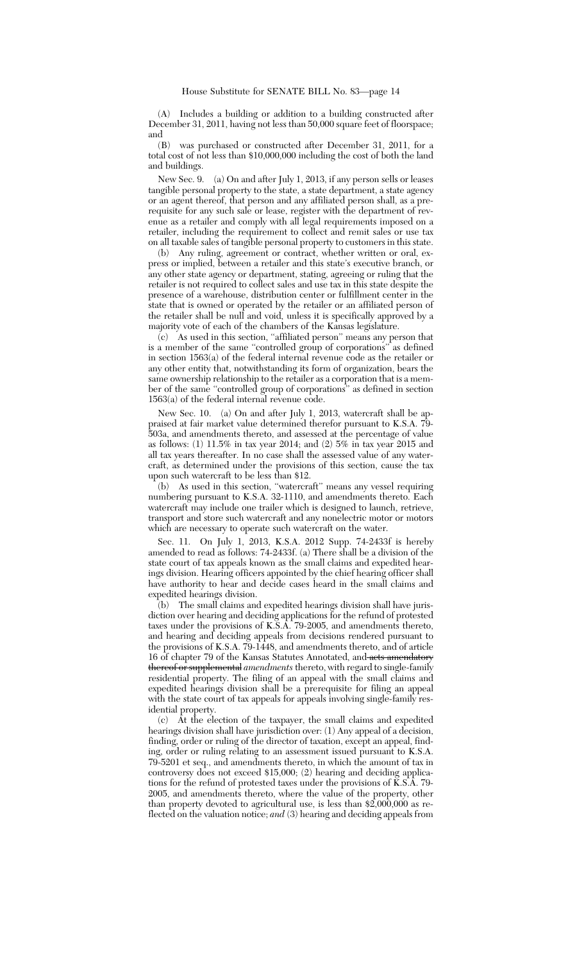(A) Includes a building or addition to a building constructed after December 31, 2011, having not less than 50,000 square feet of floorspace; and

(B) was purchased or constructed after December 31, 2011, for a total cost of not less than \$10,000,000 including the cost of both the land and buildings.

New Sec. 9. (a) On and after July 1, 2013, if any person sells or leases tangible personal property to the state, a state department, a state agency or an agent thereof, that person and any affiliated person shall, as a prerequisite for any such sale or lease, register with the department of revenue as a retailer and comply with all legal requirements imposed on a retailer, including the requirement to collect and remit sales or use tax on all taxable sales of tangible personal property to customers in this state.

(b) Any ruling, agreement or contract, whether written or oral, express or implied, between a retailer and this state's executive branch, or any other state agency or department, stating, agreeing or ruling that the retailer is not required to collect sales and use tax in this state despite the presence of a warehouse, distribution center or fulfillment center in the state that is owned or operated by the retailer or an affiliated person of the retailer shall be null and void, unless it is specifically approved by a majority vote of each of the chambers of the Kansas legislature.

(c) As used in this section, ''affiliated person'' means any person that is a member of the same ''controlled group of corporations'' as defined in section 1563(a) of the federal internal revenue code as the retailer or any other entity that, notwithstanding its form of organization, bears the same ownership relationship to the retailer as a corporation that is a member of the same ''controlled group of corporations'' as defined in section 1563(a) of the federal internal revenue code.

New Sec. 10. (a) On and after July 1, 2013, watercraft shall be appraised at fair market value determined therefor pursuant to K.S.A. 79- 503a, and amendments thereto, and assessed at the percentage of value as follows: (1) 11.5% in tax year 2014; and (2) 5% in tax year 2015 and all tax years thereafter. In no case shall the assessed value of any watercraft, as determined under the provisions of this section, cause the tax upon such watercraft to be less than \$12.

(b) As used in this section, ''watercraft'' means any vessel requiring numbering pursuant to K.S.A. 32-1110, and amendments thereto. Each watercraft may include one trailer which is designed to launch, retrieve, transport and store such watercraft and any nonelectric motor or motors which are necessary to operate such watercraft on the water.

Sec. 11. On July 1, 2013, K.S.A. 2012 Supp. 74-2433f is hereby amended to read as follows: 74-2433f. (a) There shall be a division of the state court of tax appeals known as the small claims and expedited hearings division. Hearing officers appointed by the chief hearing officer shall have authority to hear and decide cases heard in the small claims and expedited hearings division.

(b) The small claims and expedited hearings division shall have jurisdiction over hearing and deciding applications for the refund of protested taxes under the provisions of K.S.A. 79-2005, and amendments thereto, and hearing and deciding appeals from decisions rendered pursuant to the provisions of K.S.A. 79-1448, and amendments thereto, and of article 16 of chapter 79 of the Kansas Statutes Annotated, and acts amendatory thereof or supplemental *amendments* thereto, with regard to single-family residential property. The filing of an appeal with the small claims and expedited hearings division shall be a prerequisite for filing an appeal with the state court of tax appeals for appeals involving single-family residential property.

(c) At the election of the taxpayer, the small claims and expedited hearings division shall have jurisdiction over: (1) Any appeal of a decision, finding, order or ruling of the director of taxation, except an appeal, finding, order or ruling relating to an assessment issued pursuant to K.S.A. 79-5201 et seq., and amendments thereto, in which the amount of tax in controversy does not exceed \$15,000; (2) hearing and deciding applications for the refund of protested taxes under the provisions of K.S.A. 79- 2005, and amendments thereto, where the value of the property, other than property devoted to agricultural use, is less than \$2,000,000 as reflected on the valuation notice; *and* (3) hearing and deciding appeals from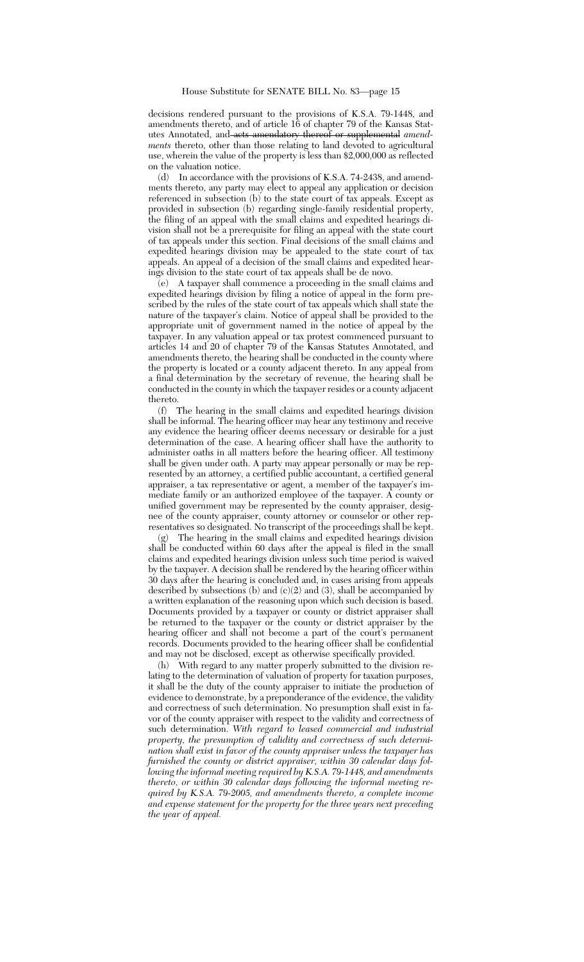decisions rendered pursuant to the provisions of K.S.A. 79-1448, and amendments thereto, and of article 16 of chapter 79 of the Kansas Statutes Annotated, and acts amendatory thereof or supplemental *amendments* thereto, other than those relating to land devoted to agricultural use, wherein the value of the property is less than \$2,000,000 as reflected on the valuation notice.

(d) In accordance with the provisions of K.S.A. 74-2438, and amendments thereto, any party may elect to appeal any application or decision referenced in subsection (b) to the state court of tax appeals. Except as provided in subsection (b) regarding single-family residential property, the filing of an appeal with the small claims and expedited hearings division shall not be a prerequisite for filing an appeal with the state court of tax appeals under this section. Final decisions of the small claims and expedited hearings division may be appealed to the state court of tax appeals. An appeal of a decision of the small claims and expedited hearings division to the state court of tax appeals shall be de novo.

(e) A taxpayer shall commence a proceeding in the small claims and expedited hearings division by filing a notice of appeal in the form prescribed by the rules of the state court of tax appeals which shall state the nature of the taxpayer's claim. Notice of appeal shall be provided to the appropriate unit of government named in the notice of appeal by the taxpayer. In any valuation appeal or tax protest commenced pursuant to articles 14 and 20 of chapter 79 of the Kansas Statutes Annotated, and amendments thereto, the hearing shall be conducted in the county where the property is located or a county adjacent thereto. In any appeal from a final determination by the secretary of revenue, the hearing shall be conducted in the county in which the taxpayer resides or a county adjacent thereto.

(f) The hearing in the small claims and expedited hearings division shall be informal. The hearing officer may hear any testimony and receive any evidence the hearing officer deems necessary or desirable for a just determination of the case. A hearing officer shall have the authority to administer oaths in all matters before the hearing officer. All testimony shall be given under oath. A party may appear personally or may be represented by an attorney, a certified public accountant, a certified general appraiser, a tax representative or agent, a member of the taxpayer's immediate family or an authorized employee of the taxpayer. A county or unified government may be represented by the county appraiser, designee of the county appraiser, county attorney or counselor or other representatives so designated. No transcript of the proceedings shall be kept.

The hearing in the small claims and expedited hearings division shall be conducted within 60 days after the appeal is filed in the small claims and expedited hearings division unless such time period is waived by the taxpayer. A decision shall be rendered by the hearing officer within 30 days after the hearing is concluded and, in cases arising from appeals described by subsections (b) and  $(c)(2)$  and  $(3)$ , shall be accompanied by a written explanation of the reasoning upon which such decision is based. Documents provided by a taxpayer or county or district appraiser shall be returned to the taxpayer or the county or district appraiser by the hearing officer and shall not become a part of the court's permanent records. Documents provided to the hearing officer shall be confidential and may not be disclosed, except as otherwise specifically provided.

(h) With regard to any matter properly submitted to the division relating to the determination of valuation of property for taxation purposes, it shall be the duty of the county appraiser to initiate the production of evidence to demonstrate, by a preponderance of the evidence, the validity and correctness of such determination. No presumption shall exist in favor of the county appraiser with respect to the validity and correctness of such determination. *With regard to leased commercial and industrial property, the presumption of validity and correctness of such determination shall exist in favor of the county appraiser unless the taxpayer has furnished the county or district appraiser, within 30 calendar days following the informal meeting required by K.S.A. 79-1448, and amendments thereto, or within 30 calendar days following the informal meeting required by K.S.A. 79-2005, and amendments thereto, a complete income and expense statement for the property for the three years next preceding the year of appeal.*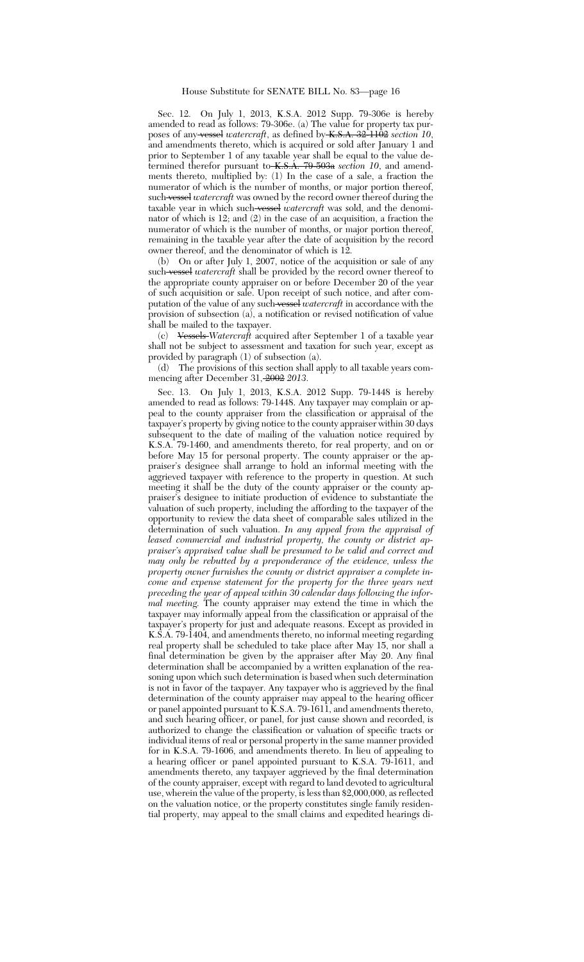Sec. 12. On July 1, 2013, K.S.A. 2012 Supp. 79-306e is hereby amended to read as follows: 79-306e. (a) The value for property tax purposes of any vessel *watercraft*, as defined by K.S.A. 32-1102 *section 10*, and amendments thereto, which is acquired or sold after January 1 and prior to September 1 of any taxable year shall be equal to the value determined therefor pursuant to K.S.A. 79-503a *section 10*, and amendments thereto, multiplied by: (1) In the case of a sale, a fraction the numerator of which is the number of months, or major portion thereof, such vessel *watercraft* was owned by the record owner thereof during the taxable year in which such vessel *watercraft* was sold, and the denominator of which is 12; and  $(2)$  in the case of an acquisition, a fraction the numerator of which is the number of months, or major portion thereof, remaining in the taxable year after the date of acquisition by the record owner thereof, and the denominator of which is 12.

(b) On or after July 1, 2007, notice of the acquisition or sale of any such vessel *watercraft* shall be provided by the record owner thereof to the appropriate county appraiser on or before December 20 of the year of such acquisition or sale. Upon receipt of such notice, and after computation of the value of any such vessel *watercraft* in accordance with the provision of subsection (a), a notification or revised notification of value shall be mailed to the taxpayer.

(c) Vessels *Watercraft* acquired after September 1 of a taxable year shall not be subject to assessment and taxation for such year, except as provided by paragraph (1) of subsection (a).

(d) The provisions of this section shall apply to all taxable years commencing after December 31, 2002 *2013*.

Sec. 13. On July 1, 2013, K.S.A. 2012 Supp. 79-1448 is hereby amended to read as follows: 79-1448. Any taxpayer may complain or appeal to the county appraiser from the classification or appraisal of the taxpayer's property by giving notice to the county appraiser within 30 days subsequent to the date of mailing of the valuation notice required by K.S.A. 79-1460, and amendments thereto, for real property, and on or before May 15 for personal property. The county appraiser or the appraiser's designee shall arrange to hold an informal meeting with the aggrieved taxpayer with reference to the property in question. At such meeting it shall be the duty of the county appraiser or the county appraiser's designee to initiate production of evidence to substantiate the valuation of such property, including the affording to the taxpayer of the opportunity to review the data sheet of comparable sales utilized in the determination of such valuation. *In any appeal from the appraisal of leased commercial and industrial property, the county or district appraiser's appraised value shall be presumed to be valid and correct and may only be rebutted by a preponderance of the evidence, unless the property owner furnishes the county or district appraiser a complete income and expense statement for the property for the three years next preceding the year of appeal within 30 calendar days following the informal meeting.* The county appraiser may extend the time in which the taxpayer may informally appeal from the classification or appraisal of the taxpayer's property for just and adequate reasons. Except as provided in K.S.A. 79-1404, and amendments thereto, no informal meeting regarding real property shall be scheduled to take place after May 15, nor shall a final determination be given by the appraiser after May 20. Any final determination shall be accompanied by a written explanation of the reasoning upon which such determination is based when such determination is not in favor of the taxpayer. Any taxpayer who is aggrieved by the final determination of the county appraiser may appeal to the hearing officer or panel appointed pursuant to K.S.A. 79-1611, and amendments thereto, and such hearing officer, or panel, for just cause shown and recorded, is authorized to change the classification or valuation of specific tracts or individual items of real or personal property in the same manner provided for in K.S.A. 79-1606, and amendments thereto. In lieu of appealing to a hearing officer or panel appointed pursuant to K.S.A. 79-1611, and amendments thereto, any taxpayer aggrieved by the final determination of the county appraiser, except with regard to land devoted to agricultural use, wherein the value of the property, is less than \$2,000,000, as reflected on the valuation notice, or the property constitutes single family residential property, may appeal to the small claims and expedited hearings di-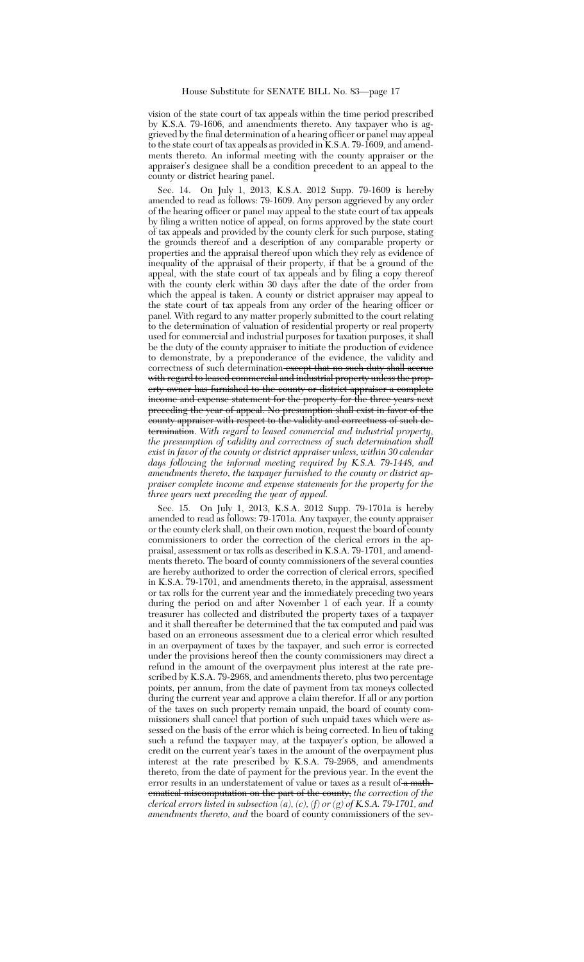vision of the state court of tax appeals within the time period prescribed by K.S.A. 79-1606, and amendments thereto. Any taxpayer who is aggrieved by the final determination of a hearing officer or panel may appeal to the state court of tax appeals as provided in K.S.A. 79-1609, and amendments thereto. An informal meeting with the county appraiser or the appraiser's designee shall be a condition precedent to an appeal to the county or district hearing panel.

Sec. 14. On July 1, 2013, K.S.A. 2012 Supp. 79-1609 is hereby amended to read as follows: 79-1609. Any person aggrieved by any order of the hearing officer or panel may appeal to the state court of tax appeals by filing a written notice of appeal, on forms approved by the state court of tax appeals and provided by the county clerk for such purpose, stating the grounds thereof and a description of any comparable property or properties and the appraisal thereof upon which they rely as evidence of inequality of the appraisal of their property, if that be a ground of the appeal, with the state court of tax appeals and by filing a copy thereof with the county clerk within 30 days after the date of the order from which the appeal is taken. A county or district appraiser may appeal to the state court of tax appeals from any order of the hearing officer or panel. With regard to any matter properly submitted to the court relating to the determination of valuation of residential property or real property used for commercial and industrial purposes for taxation purposes, it shall be the duty of the county appraiser to initiate the production of evidence to demonstrate, by a preponderance of the evidence, the validity and correctness of such determination except that no such duty shall accrue with regard to leased commercial and industrial property unless the property owner has furnished to the county or district appraiser a complete income and expense statement for the property for the three years next preceding the year of appeal. No presumption shall exist in favor of the county appraiser with respect to the validity and correctness of such determination. *With regard to leased commercial and industrial property, the presumption of validity and correctness of such determination shall exist in favor of the county or district appraiser unless, within 30 calendar days following the informal meeting required by K.S.A. 79-1448, and amendments thereto, the taxpayer furnished to the county or district appraiser complete income and expense statements for the property for the three years next preceding the year of appeal.*

Sec. 15. On July 1, 2013, K.S.A. 2012 Supp. 79-1701a is hereby amended to read as follows: 79-1701a. Any taxpayer, the county appraiser or the county clerk shall, on their own motion, request the board of county commissioners to order the correction of the clerical errors in the appraisal, assessment or tax rolls as described in K.S.A. 79-1701, and amendments thereto. The board of county commissioners of the several counties are hereby authorized to order the correction of clerical errors, specified in K.S.A. 79-1701, and amendments thereto, in the appraisal, assessment or tax rolls for the current year and the immediately preceding two years during the period on and after November 1 of each year. If a county treasurer has collected and distributed the property taxes of a taxpayer and it shall thereafter be determined that the tax computed and paid was based on an erroneous assessment due to a clerical error which resulted in an overpayment of taxes by the taxpayer, and such error is corrected under the provisions hereof then the county commissioners may direct a refund in the amount of the overpayment plus interest at the rate prescribed by K.S.A. 79-2968, and amendments thereto, plus two percentage points, per annum, from the date of payment from tax moneys collected during the current year and approve a claim therefor. If all or any portion of the taxes on such property remain unpaid, the board of county commissioners shall cancel that portion of such unpaid taxes which were assessed on the basis of the error which is being corrected. In lieu of taking such a refund the taxpayer may, at the taxpayer's option, be allowed a credit on the current year's taxes in the amount of the overpayment plus interest at the rate prescribed by K.S.A. 79-2968, and amendments thereto, from the date of payment for the previous year. In the event the error results in an understatement of value or taxes as a result of a mathematical miscomputation on the part of the county, *the correction of the clerical errors listed in subsection (a), (c), (f) or (g) of K.S.A. 79-1701, and amendments thereto, and* the board of county commissioners of the sev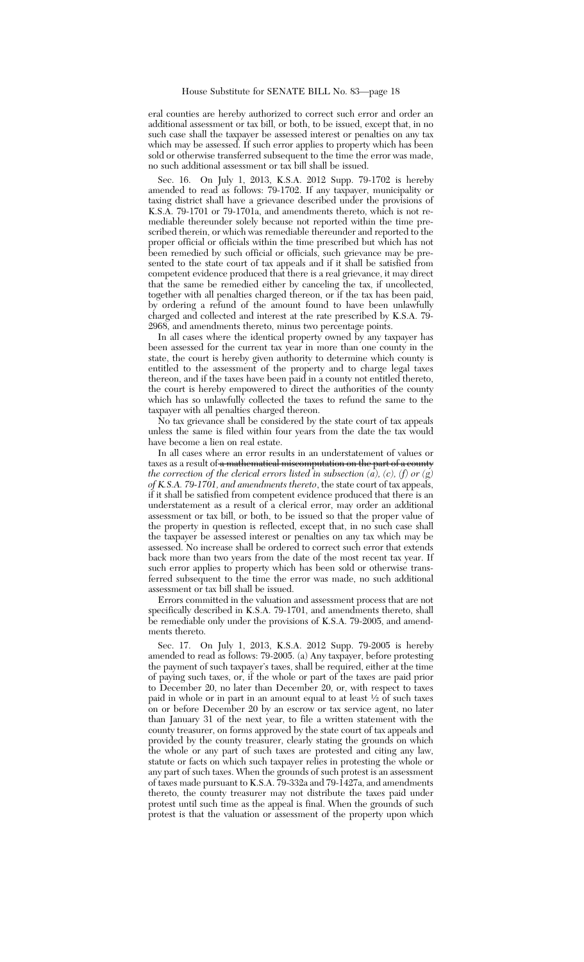eral counties are hereby authorized to correct such error and order an additional assessment or tax bill, or both, to be issued, except that, in no such case shall the taxpayer be assessed interest or penalties on any tax which may be assessed. If such error applies to property which has been sold or otherwise transferred subsequent to the time the error was made, no such additional assessment or tax bill shall be issued.

Sec. 16. On July 1, 2013, K.S.A. 2012 Supp. 79-1702 is hereby amended to read as follows: 79-1702. If any taxpayer, municipality or taxing district shall have a grievance described under the provisions of K.S.A. 79-1701 or 79-1701a, and amendments thereto, which is not remediable thereunder solely because not reported within the time prescribed therein, or which was remediable thereunder and reported to the proper official or officials within the time prescribed but which has not been remedied by such official or officials, such grievance may be presented to the state court of tax appeals and if it shall be satisfied from competent evidence produced that there is a real grievance, it may direct that the same be remedied either by canceling the tax, if uncollected, together with all penalties charged thereon, or if the tax has been paid, by ordering a refund of the amount found to have been unlawfully charged and collected and interest at the rate prescribed by K.S.A. 79- 2968, and amendments thereto, minus two percentage points.

In all cases where the identical property owned by any taxpayer has been assessed for the current tax year in more than one county in the state, the court is hereby given authority to determine which county is entitled to the assessment of the property and to charge legal taxes thereon, and if the taxes have been paid in a county not entitled thereto, the court is hereby empowered to direct the authorities of the county which has so unlawfully collected the taxes to refund the same to the taxpayer with all penalties charged thereon.

No tax grievance shall be considered by the state court of tax appeals unless the same is filed within four years from the date the tax would have become a lien on real estate.

In all cases where an error results in an understatement of values or taxes as a result of a mathematical miscomputation on the part of a county *the correction of the clerical errors listed in subsection (a), (c), (f) or (g) of K.S.A. 79-1701, and amendments thereto*, the state court of tax appeals, if it shall be satisfied from competent evidence produced that there is an understatement as a result of a clerical error, may order an additional assessment or tax bill, or both, to be issued so that the proper value of the property in question is reflected, except that, in no such case shall the taxpayer be assessed interest or penalties on any tax which may be assessed. No increase shall be ordered to correct such error that extends back more than two years from the date of the most recent tax year. If such error applies to property which has been sold or otherwise transferred subsequent to the time the error was made, no such additional assessment or tax bill shall be issued.

Errors committed in the valuation and assessment process that are not specifically described in K.S.A. 79-1701, and amendments thereto, shall be remediable only under the provisions of K.S.A. 79-2005, and amendments thereto.

Sec. 17. On July 1, 2013, K.S.A. 2012 Supp. 79-2005 is hereby amended to read as follows: 79-2005. (a) Any taxpayer, before protesting the payment of such taxpayer's taxes, shall be required, either at the time of paying such taxes, or, if the whole or part of the taxes are paid prior to December 20, no later than December 20, or, with respect to taxes paid in whole or in part in an amount equal to at least <sup>1</sup> ⁄2 of such taxes on or before December 20 by an escrow or tax service agent, no later than January 31 of the next year, to file a written statement with the county treasurer, on forms approved by the state court of tax appeals and provided by the county treasurer, clearly stating the grounds on which the whole or any part of such taxes are protested and citing any law, statute or facts on which such taxpayer relies in protesting the whole or any part of such taxes. When the grounds of such protest is an assessment of taxes made pursuant to K.S.A. 79-332a and 79-1427a, and amendments thereto, the county treasurer may not distribute the taxes paid under protest until such time as the appeal is final. When the grounds of such protest is that the valuation or assessment of the property upon which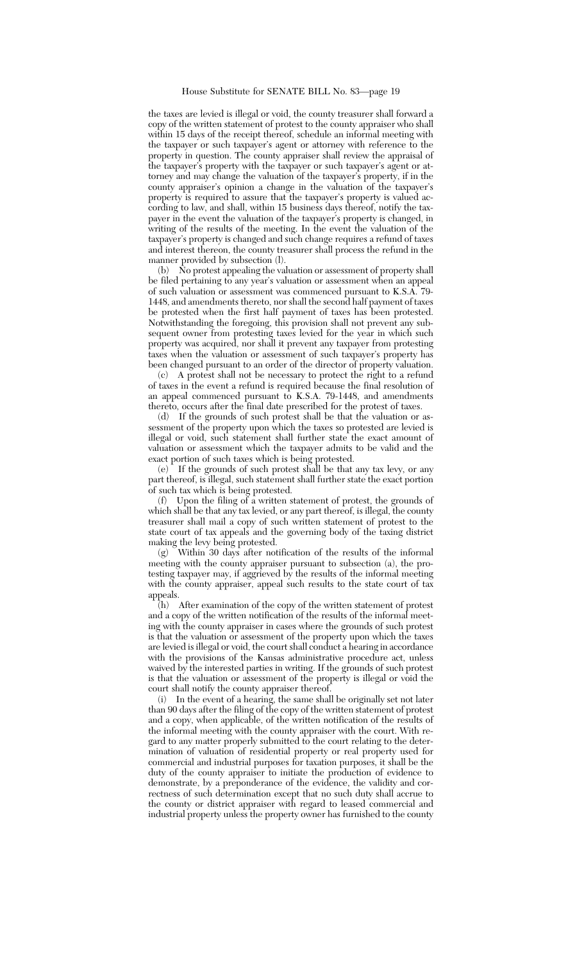the taxes are levied is illegal or void, the county treasurer shall forward a copy of the written statement of protest to the county appraiser who shall within 15 days of the receipt thereof, schedule an informal meeting with the taxpayer or such taxpayer's agent or attorney with reference to the property in question. The county appraiser shall review the appraisal of the taxpayer's property with the taxpayer or such taxpayer's agent or attorney and may change the valuation of the taxpayer's property, if in the county appraiser's opinion a change in the valuation of the taxpayer's property is required to assure that the taxpayer's property is valued according to law, and shall, within 15 business days thereof, notify the taxpayer in the event the valuation of the taxpayer's property is changed, in writing of the results of the meeting. In the event the valuation of the taxpayer's property is changed and such change requires a refund of taxes and interest thereon, the county treasurer shall process the refund in the manner provided by subsection (l).

(b) No protest appealing the valuation or assessment of property shall be filed pertaining to any year's valuation or assessment when an appeal of such valuation or assessment was commenced pursuant to K.S.A. 79- 1448, and amendments thereto, nor shall the second half payment of taxes be protested when the first half payment of taxes has been protested. Notwithstanding the foregoing, this provision shall not prevent any subsequent owner from protesting taxes levied for the year in which such property was acquired, nor shall it prevent any taxpayer from protesting taxes when the valuation or assessment of such taxpayer's property has been changed pursuant to an order of the director of property valuation.

(c) A protest shall not be necessary to protect the right to a refund of taxes in the event a refund is required because the final resolution of an appeal commenced pursuant to K.S.A. 79-1448, and amendments thereto, occurs after the final date prescribed for the protest of taxes.

(d) If the grounds of such protest shall be that the valuation or assessment of the property upon which the taxes so protested are levied is illegal or void, such statement shall further state the exact amount of valuation or assessment which the taxpayer admits to be valid and the exact portion of such taxes which is being protested.

(e) If the grounds of such protest shall be that any tax levy, or any part thereof, is illegal, such statement shall further state the exact portion of such tax which is being protested.

(f) Upon the filing of a written statement of protest, the grounds of which shall be that any tax levied, or any part thereof, is illegal, the county treasurer shall mail a copy of such written statement of protest to the state court of tax appeals and the governing body of the taxing district making the levy being protested.

(g) Within 30 days after notification of the results of the informal meeting with the county appraiser pursuant to subsection (a), the protesting taxpayer may, if aggrieved by the results of the informal meeting with the county appraiser, appeal such results to the state court of tax appeals.

 $(h)$  After examination of the copy of the written statement of protest and a copy of the written notification of the results of the informal meeting with the county appraiser in cases where the grounds of such protest is that the valuation or assessment of the property upon which the taxes are levied is illegal or void, the court shall conduct a hearing in accordance with the provisions of the Kansas administrative procedure act, unless waived by the interested parties in writing. If the grounds of such protest is that the valuation or assessment of the property is illegal or void the court shall notify the county appraiser thereof.

(i) In the event of a hearing, the same shall be originally set not later than 90 days after the filing of the copy of the written statement of protest and a copy, when applicable, of the written notification of the results of the informal meeting with the county appraiser with the court. With regard to any matter properly submitted to the court relating to the determination of valuation of residential property or real property used for commercial and industrial purposes for taxation purposes, it shall be the duty of the county appraiser to initiate the production of evidence to demonstrate, by a preponderance of the evidence, the validity and correctness of such determination except that no such duty shall accrue to the county or district appraiser with regard to leased commercial and industrial property unless the property owner has furnished to the county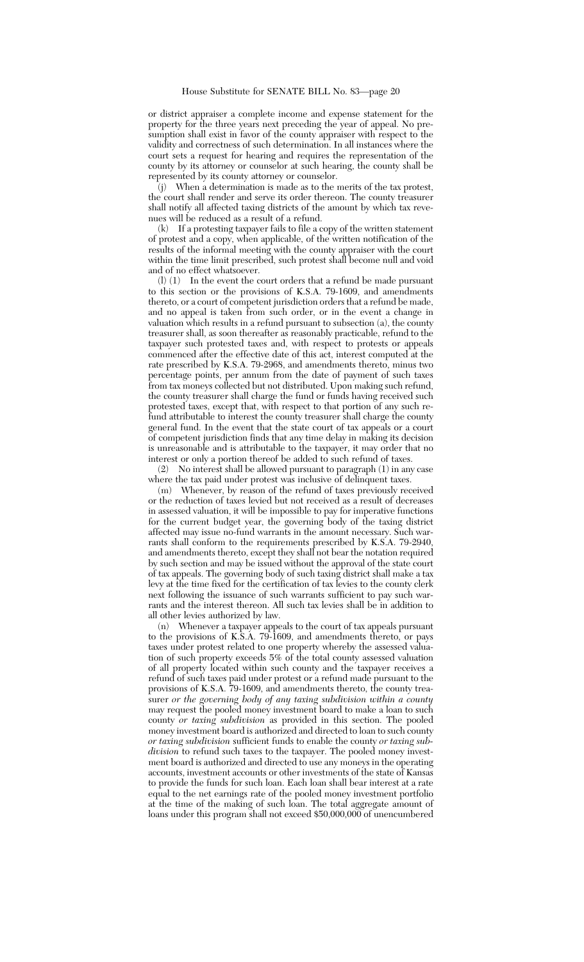or district appraiser a complete income and expense statement for the property for the three years next preceding the year of appeal. No presumption shall exist in favor of the county appraiser with respect to the validity and correctness of such determination. In all instances where the court sets a request for hearing and requires the representation of the county by its attorney or counselor at such hearing, the county shall be represented by its county attorney or counselor.

 $(i)$  When a determination is made as to the merits of the tax protest, the court shall render and serve its order thereon. The county treasurer shall notify all affected taxing districts of the amount by which tax revenues will be reduced as a result of a refund.

(k) If a protesting taxpayer fails to file a copy of the written statement of protest and a copy, when applicable, of the written notification of the results of the informal meeting with the county appraiser with the court within the time limit prescribed, such protest shall become null and void and of no effect whatsoever.

(l) (1) In the event the court orders that a refund be made pursuant to this section or the provisions of K.S.A. 79-1609, and amendments thereto, or a court of competent jurisdiction orders that a refund be made, and no appeal is taken from such order, or in the event a change in valuation which results in a refund pursuant to subsection (a), the county treasurer shall, as soon thereafter as reasonably practicable, refund to the taxpayer such protested taxes and, with respect to protests or appeals commenced after the effective date of this act, interest computed at the rate prescribed by K.S.A. 79-2968, and amendments thereto, minus two percentage points, per annum from the date of payment of such taxes from tax moneys collected but not distributed. Upon making such refund, the county treasurer shall charge the fund or funds having received such protested taxes, except that, with respect to that portion of any such refund attributable to interest the county treasurer shall charge the county general fund. In the event that the state court of tax appeals or a court of competent jurisdiction finds that any time delay in making its decision is unreasonable and is attributable to the taxpayer, it may order that no interest or only a portion thereof be added to such refund of taxes.<br>(2) No interest shall be allowed pursuant to paragraph  $(1)$  in any

(2) No interest shall be allowed pursuant to paragraph (1) in any case where the tax paid under protest was inclusive of delinquent taxes.

(m) Whenever, by reason of the refund of taxes previously received or the reduction of taxes levied but not received as a result of decreases in assessed valuation, it will be impossible to pay for imperative functions for the current budget year, the governing body of the taxing district affected may issue no-fund warrants in the amount necessary. Such warrants shall conform to the requirements prescribed by K.S.A. 79-2940, and amendments thereto, except they shall not bear the notation required by such section and may be issued without the approval of the state court of tax appeals. The governing body of such taxing district shall make a tax levy at the time fixed for the certification of tax levies to the county clerk next following the issuance of such warrants sufficient to pay such warrants and the interest thereon. All such tax levies shall be in addition to all other levies authorized by law.

(n) Whenever a taxpayer appeals to the court of tax appeals pursuant to the provisions of K.S.A. 79-1609, and amendments thereto, or pays taxes under protest related to one property whereby the assessed valuation of such property exceeds 5% of the total county assessed valuation of all property located within such county and the taxpayer receives a refund of such taxes paid under protest or a refund made pursuant to the provisions of K.S.A. 79-1609, and amendments thereto, the county treasurer *or the governing body of any taxing subdivision within a county* may request the pooled money investment board to make a loan to such county *or taxing subdivision* as provided in this section. The pooled money investment board is authorized and directed to loan to such county *or taxing subdivision* sufficient funds to enable the county *or taxing subdivision* to refund such taxes to the taxpayer. The pooled money investment board is authorized and directed to use any moneys in the operating accounts, investment accounts or other investments of the state of Kansas to provide the funds for such loan. Each loan shall bear interest at a rate equal to the net earnings rate of the pooled money investment portfolio at the time of the making of such loan. The total aggregate amount of loans under this program shall not exceed \$50,000,000 of unencumbered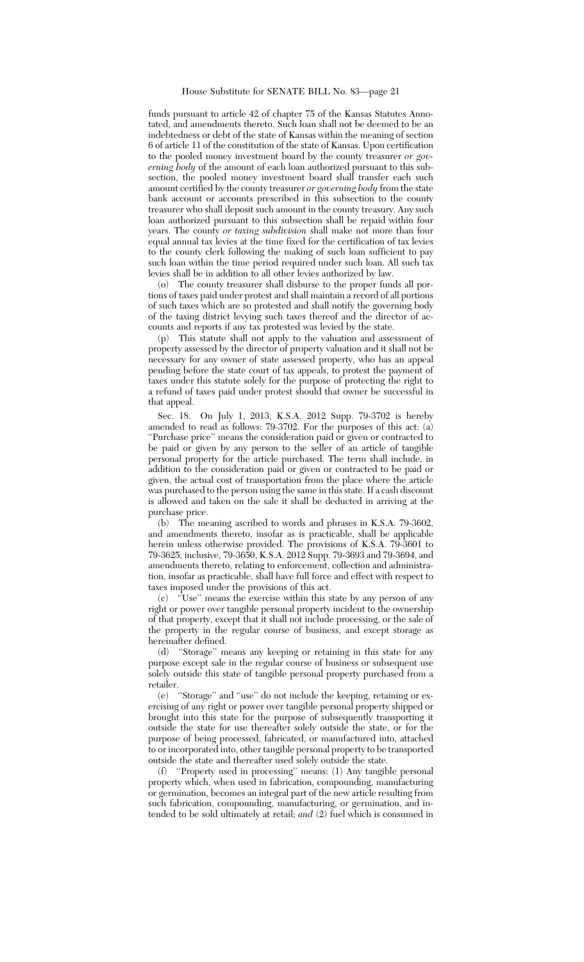funds pursuant to article 42 of chapter 75 of the Kansas Statutes Annotated, and amendments thereto. Such loan shall not be deemed to be an indebtedness or debt of the state of Kansas within the meaning of section 6 of article 11 of the constitution of the state of Kansas. Upon certification to the pooled money investment board by the county treasurer *or governing body* of the amount of each loan authorized pursuant to this subsection, the pooled money investment board shall transfer each such amount certified by the county treasurer *or governing body* from the state bank account or accounts prescribed in this subsection to the county treasurer who shall deposit such amount in the county treasury. Any such loan authorized pursuant to this subsection shall be repaid within four years. The county *or taxing subdivision* shall make not more than four equal annual tax levies at the time fixed for the certification of tax levies to the county clerk following the making of such loan sufficient to pay such loan within the time period required under such loan. All such tax levies shall be in addition to all other levies authorized by law.

(o) The county treasurer shall disburse to the proper funds all portions of taxes paid under protest and shall maintain a record of all portions of such taxes which are so protested and shall notify the governing body of the taxing district levying such taxes thereof and the director of accounts and reports if any tax protested was levied by the state.

(p) This statute shall not apply to the valuation and assessment of property assessed by the director of property valuation and it shall not be necessary for any owner of state assessed property, who has an appeal pending before the state court of tax appeals, to protest the payment of taxes under this statute solely for the purpose of protecting the right to a refund of taxes paid under protest should that owner be successful in that appeal.

Sec. 18. On July 1, 2013, K.S.A. 2012 Supp. 79-3702 is hereby amended to read as follows: 79-3702. For the purposes of this act: (a) ''Purchase price'' means the consideration paid or given or contracted to be paid or given by any person to the seller of an article of tangible personal property for the article purchased. The term shall include, in addition to the consideration paid or given or contracted to be paid or given, the actual cost of transportation from the place where the article was purchased to the person using the same in this state. If a cash discount is allowed and taken on the sale it shall be deducted in arriving at the purchase price.

(b) The meaning ascribed to words and phrases in K.S.A. 79-3602, and amendments thereto, insofar as is practicable, shall be applicable herein unless otherwise provided. The provisions of K.S.A. 79-3601 to 79-3625, inclusive, 79-3650, K.S.A. 2012 Supp. 79-3693 and 79-3694, and amendments thereto, relating to enforcement, collection and administration, insofar as practicable, shall have full force and effect with respect to taxes imposed under the provisions of this act.

(c) ''Use'' means the exercise within this state by any person of any right or power over tangible personal property incident to the ownership of that property, except that it shall not include processing, or the sale of the property in the regular course of business, and except storage as hereinafter defined.

(d) ''Storage'' means any keeping or retaining in this state for any purpose except sale in the regular course of business or subsequent use solely outside this state of tangible personal property purchased from a retailer.

(e) ''Storage'' and ''use'' do not include the keeping, retaining or exercising of any right or power over tangible personal property shipped or brought into this state for the purpose of subsequently transporting it outside the state for use thereafter solely outside the state, or for the purpose of being processed, fabricated, or manufactured into, attached to or incorporated into, other tangible personal property to be transported outside the state and thereafter used solely outside the state.

(f) ''Property used in processing'' means: (1) Any tangible personal property which, when used in fabrication, compounding, manufacturing or germination, becomes an integral part of the new article resulting from such fabrication, compounding, manufacturing, or germination, and intended to be sold ultimately at retail; *and* (2) fuel which is consumed in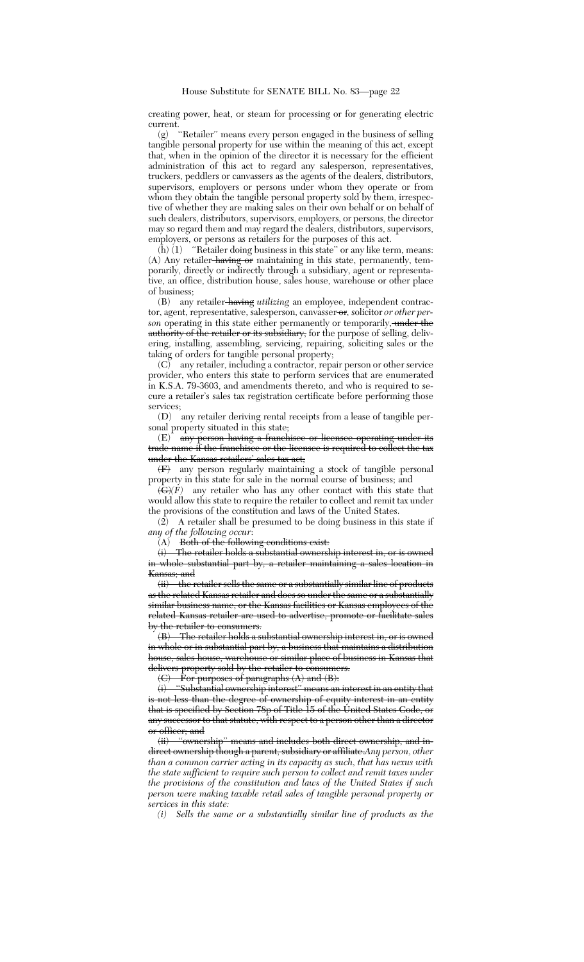creating power, heat, or steam for processing or for generating electric current.

(g) ''Retailer'' means every person engaged in the business of selling tangible personal property for use within the meaning of this act, except that, when in the opinion of the director it is necessary for the efficient administration of this act to regard any salesperson, representatives, truckers, peddlers or canvassers as the agents of the dealers, distributors, supervisors, employers or persons under whom they operate or from whom they obtain the tangible personal property sold by them, irrespective of whether they are making sales on their own behalf or on behalf of such dealers, distributors, supervisors, employers, or persons, the director may so regard them and may regard the dealers, distributors, supervisors, employers, or persons as retailers for the purposes of this act.

(h) (1) ''Retailer doing business in this state'' or any like term, means: (A) Any retailer having or maintaining in this state, permanently, temporarily, directly or indirectly through a subsidiary, agent or representative, an office, distribution house, sales house, warehouse or other place of business;

(B) any retailer having *utilizing* an employee, independent contractor, agent, representative, salesperson, canvasser or, solicitor *or other per*son operating in this state either permanently or temporarily, under the authority of the retailer or its subsidiary, for the purpose of selling, delivering, installing, assembling, servicing, repairing, soliciting sales or the taking of orders for tangible personal property;

(C) any retailer, including a contractor, repair person or other service provider, who enters this state to perform services that are enumerated in K.S.A. 79-3603, and amendments thereto, and who is required to secure a retailer's sales tax registration certificate before performing those services;

(D) any retailer deriving rental receipts from a lease of tangible personal property situated in this state;

(E) any person having a franchisee or licensee operating under its trade name if the franchisee or the licensee is required to collect the tax under the Kansas retailers' sales tax act;

(F) any person regularly maintaining a stock of tangible personal property in this state for sale in the normal course of business; and

 $\langle \mathbf{\hat{G}} \rangle \langle \mathbf{\hat{F}} \rangle$  any retailer who has any other contact with this state that would allow this state to require the retailer to collect and remit tax under the provisions of the constitution and laws of the United States.

 $(2)$  A retailer shall be presumed to be doing business in this state if *any of the following occur*:

 $(A)$  Both of the following conditions exist:<br>(i) The retailer holds a substantial owners

The retailer holds a substantial ownership interest in, or is owned in whole substantial part by, a retailer maintaining a sales location in Kansas; and

(ii) the retailer sells the same or a substantially similar line of products as the related Kansas retailer and does so under the same or a substantially similar business name, or the Kansas facilities or Kansas employees of the related Kansas retailer are used to advertise, promote or facilitate sales by the retailer to consumers.

(B) The retailer holds a substantial ownership interest in, or is owned in whole or in substantial part by, a business that maintains a distribution house, sales house, warehouse or similar place of business in Kansas that delivers property sold by the retailer to consumers.

 $\langle C \rangle$  For purposes of paragraphs  $\langle A \rangle$  and  $\langle B \rangle$ :

(i) ''Substantial ownership interest'' means an interest in an entity that is not less than the degree of ownership of equity interest in an entity that is specified by Section 78p of Title 15 of the United States Code, or any successor to that statute, with respect to a person other than a director <del>or officer; and</del><br><del>(ii) "ownership</del>"

means and includes both direct ownership, and indirect ownership though a parent, subsidiary or affiliate.*Any person, other than a common carrier acting in its capacity as such, that has nexus with the state sufficient to require such person to collect and remit taxes under the provisions of the constitution and laws of the United States if such person were making taxable retail sales of tangible personal property or services in this state:*

*(i) Sells the same or a substantially similar line of products as the*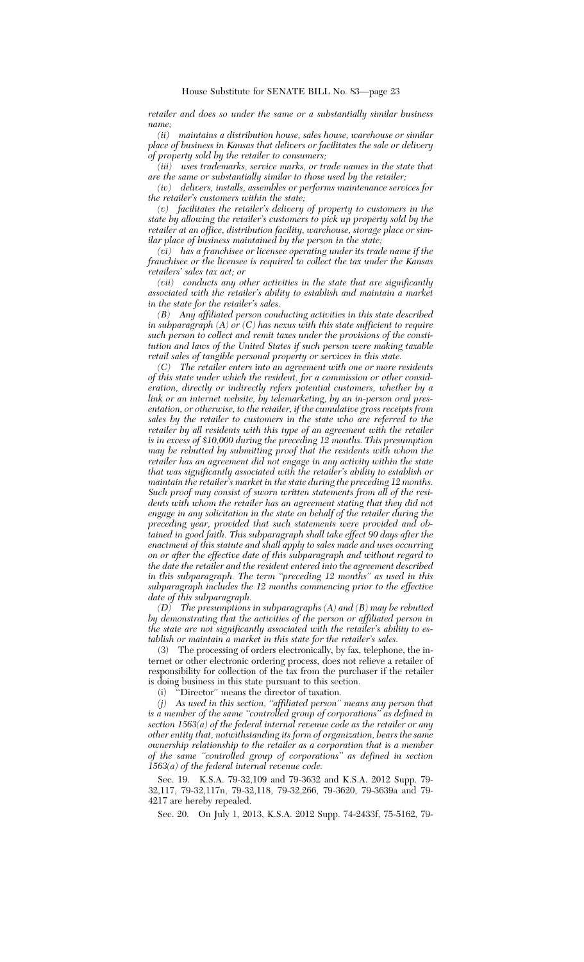*retailer and does so under the same or a substantially similar business name;*

*(ii) maintains a distribution house, sales house, warehouse or similar place of business in Kansas that delivers or facilitates the sale or delivery of property sold by the retailer to consumers;*

*(iii) uses trademarks, service marks, or trade names in the state that are the same or substantially similar to those used by the retailer;*

*(iv) delivers, installs, assembles or performs maintenance services for the retailer's customers within the state;*

*(v) facilitates the retailer's delivery of property to customers in the state by allowing the retailer's customers to pick up property sold by the retailer at an office, distribution facility, warehouse, storage place or similar place of business maintained by the person in the state;*

*(vi) has a franchisee or licensee operating under its trade name if the franchisee or the licensee is required to collect the tax under the Kansas retailers' sales tax act; or*

*(vii) conducts any other activities in the state that are significantly associated with the retailer's ability to establish and maintain a market in the state for the retailer's sales.*

*(B) Any affiliated person conducting activities in this state described in subparagraph (A) or (C) has nexus with this state sufficient to require such person to collect and remit taxes under the provisions of the constitution and laws of the United States if such person were making taxable retail sales of tangible personal property or services in this state.*

*(C) The retailer enters into an agreement with one or more residents of this state under which the resident, for a commission or other consideration, directly or indirectly refers potential customers, whether by a link or an internet website, by telemarketing, by an in-person oral presentation, or otherwise, to the retailer, if the cumulative gross receipts from sales by the retailer to customers in the state who are referred to the retailer by all residents with this type of an agreement with the retailer is in excess of \$10,000 during the preceding 12 months. This presumption may be rebutted by submitting proof that the residents with whom the retailer has an agreement did not engage in any activity within the state that was significantly associated with the retailer's ability to establish or maintain the retailer's market in the state during the preceding 12 months. Such proof may consist of sworn written statements from all of the residents with whom the retailer has an agreement stating that they did not engage in any solicitation in the state on behalf of the retailer during the preceding year, provided that such statements were provided and obtained in good faith. This subparagraph shall take effect 90 days after the enactment of this statute and shall apply to sales made and uses occurring on or after the effective date of this subparagraph and without regard to the date the retailer and the resident entered into the agreement described in this subparagraph. The term ''preceding 12 months'' as used in this subparagraph includes the 12 months commencing prior to the effective date of this subparagraph.*

*(D) The presumptions in subparagraphs (A) and (B) may be rebutted by demonstrating that the activities of the person or affiliated person in the state are not significantly associated with the retailer's ability to establish or maintain a market in this state for the retailer's sales.*

(3) The processing of orders electronically, by fax, telephone, the internet or other electronic ordering process, does not relieve a retailer of responsibility for collection of the tax from the purchaser if the retailer is doing business in this state pursuant to this section.

(i) ''Director'' means the director of taxation.

*(j) As used in this section, ''affiliated person'' means any person that is a member of the same ''controlled group of corporations'' as defined in section 1563(a) of the federal internal revenue code as the retailer or any other entity that, notwithstanding its form of organization, bears the same ownership relationship to the retailer as a corporation that is a member of the same ''controlled group of corporations'' as defined in section 1563(a) of the federal internal revenue code.*

Sec. 19. K.S.A. 79-32,109 and 79-3632 and K.S.A. 2012 Supp. 79- 32,117, 79-32,117n, 79-32,118, 79-32,266, 79-3620, 79-3639a and 79- 4217 are hereby repealed.

Sec. 20. On July 1, 2013, K.S.A. 2012 Supp. 74-2433f, 75-5162, 79-